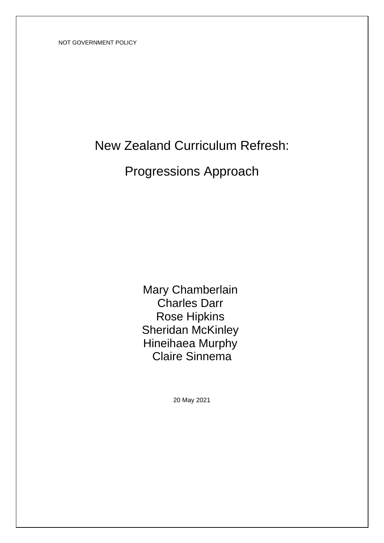# New Zealand Curriculum Refresh:

# Progressions Approach

Mary Chamberlain Charles Darr Rose Hipkins Sheridan McKinley Hineihaea Murphy Claire Sinnema

20 May 2021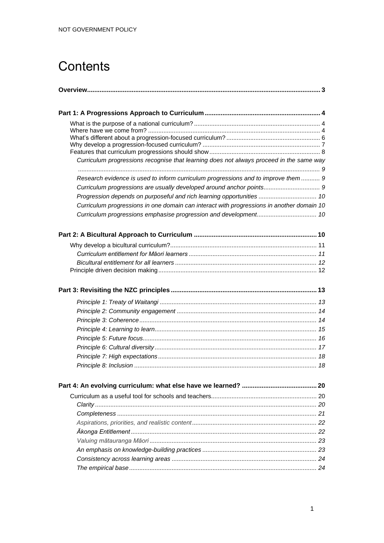# **Contents**

| Curriculum progressions recognise that learning does not always proceed in the same way<br>Research evidence is used to inform curriculum progressions and to improve them  9<br>Curriculum progressions are usually developed around anchor points 9<br>Progression depends on purposeful and rich learning opportunities  10<br>Curriculum progressions in one domain can interact with progressions in another domain 10 |  |
|-----------------------------------------------------------------------------------------------------------------------------------------------------------------------------------------------------------------------------------------------------------------------------------------------------------------------------------------------------------------------------------------------------------------------------|--|
|                                                                                                                                                                                                                                                                                                                                                                                                                             |  |
|                                                                                                                                                                                                                                                                                                                                                                                                                             |  |
|                                                                                                                                                                                                                                                                                                                                                                                                                             |  |
|                                                                                                                                                                                                                                                                                                                                                                                                                             |  |
|                                                                                                                                                                                                                                                                                                                                                                                                                             |  |
|                                                                                                                                                                                                                                                                                                                                                                                                                             |  |
|                                                                                                                                                                                                                                                                                                                                                                                                                             |  |
|                                                                                                                                                                                                                                                                                                                                                                                                                             |  |
|                                                                                                                                                                                                                                                                                                                                                                                                                             |  |
|                                                                                                                                                                                                                                                                                                                                                                                                                             |  |
|                                                                                                                                                                                                                                                                                                                                                                                                                             |  |
|                                                                                                                                                                                                                                                                                                                                                                                                                             |  |
|                                                                                                                                                                                                                                                                                                                                                                                                                             |  |
|                                                                                                                                                                                                                                                                                                                                                                                                                             |  |
|                                                                                                                                                                                                                                                                                                                                                                                                                             |  |
|                                                                                                                                                                                                                                                                                                                                                                                                                             |  |
|                                                                                                                                                                                                                                                                                                                                                                                                                             |  |
|                                                                                                                                                                                                                                                                                                                                                                                                                             |  |
|                                                                                                                                                                                                                                                                                                                                                                                                                             |  |
|                                                                                                                                                                                                                                                                                                                                                                                                                             |  |
|                                                                                                                                                                                                                                                                                                                                                                                                                             |  |
|                                                                                                                                                                                                                                                                                                                                                                                                                             |  |
|                                                                                                                                                                                                                                                                                                                                                                                                                             |  |
|                                                                                                                                                                                                                                                                                                                                                                                                                             |  |
|                                                                                                                                                                                                                                                                                                                                                                                                                             |  |
|                                                                                                                                                                                                                                                                                                                                                                                                                             |  |
|                                                                                                                                                                                                                                                                                                                                                                                                                             |  |
|                                                                                                                                                                                                                                                                                                                                                                                                                             |  |
|                                                                                                                                                                                                                                                                                                                                                                                                                             |  |
|                                                                                                                                                                                                                                                                                                                                                                                                                             |  |
|                                                                                                                                                                                                                                                                                                                                                                                                                             |  |
|                                                                                                                                                                                                                                                                                                                                                                                                                             |  |
|                                                                                                                                                                                                                                                                                                                                                                                                                             |  |
|                                                                                                                                                                                                                                                                                                                                                                                                                             |  |
|                                                                                                                                                                                                                                                                                                                                                                                                                             |  |
|                                                                                                                                                                                                                                                                                                                                                                                                                             |  |
|                                                                                                                                                                                                                                                                                                                                                                                                                             |  |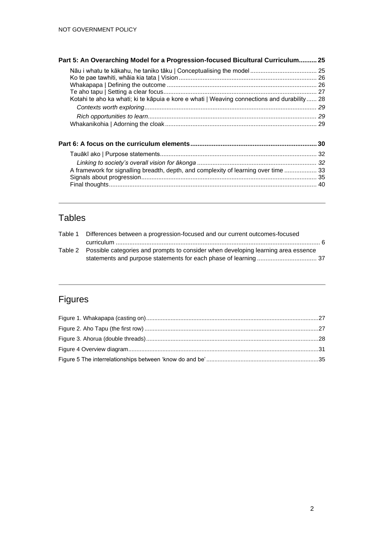| Part 5: An Overarching Model for a Progression-focused Bicultural Curriculum 25             |  |
|---------------------------------------------------------------------------------------------|--|
| Kotahi te aho ka whati; ki te kāpuja e kore e whati   Weaving connections and durability 28 |  |
|                                                                                             |  |
|                                                                                             |  |
| A framework for signalling breadth, depth, and complexity of learning over time  33         |  |

## Tables

| Table 1 Differences between a progression-focused and our current outcomes-focused        |  |
|-------------------------------------------------------------------------------------------|--|
|                                                                                           |  |
| Table 2 Possible categories and prompts to consider when developing learning area essence |  |
|                                                                                           |  |

## Figures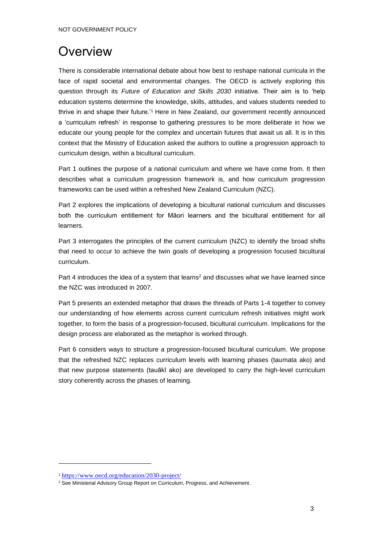## **Overview**

There is considerable international debate about how best to reshape national curricula in the face of rapid societal and environmental changes. The OECD is actively exploring this question through its *Future of Education and Skills 2030* initiative. Their aim is to 'help education systems determine the knowledge, skills, attitudes, and values students needed to thrive in and shape their future.'<sup>1</sup> Here in New Zealand, our government recently announced a 'curriculum refresh' in response to gathering pressures to be more deliberate in how we educate our young people for the complex and uncertain futures that await us all. It is in this context that the Ministry of Education asked the authors to outline a progression approach to curriculum design, within a bicultural curriculum.

Part 1 outlines the purpose of a national curriculum and where we have come from. It then describes what a curriculum progression framework is, and how curriculum progression frameworks can be used within a refreshed New Zealand Curriculum (NZC).

Part 2 explores the implications of developing a bicultural national curriculum and discusses both the curriculum entitlement for Māori learners and the bicultural entitlement for all learners.

Part 3 interrogates the principles of the current curriculum (NZC) to identify the broad shifts that need to occur to achieve the twin goals of developing a progression focused bicultural curriculum.

Part 4 introduces the idea of a system that learns<sup>2</sup> and discusses what we have learned since the NZC was introduced in 2007.

Part 5 presents an extended metaphor that draws the threads of Parts 1-4 together to convey our understanding of how elements across current curriculum refresh initiatives might work together, to form the basis of a progression-focused, bicultural curriculum. Implications for the design process are elaborated as the metaphor is worked through.

Part 6 considers ways to structure a progression-focused bicultural curriculum. We propose that the refreshed NZC replaces curriculum levels with learning phases (taumata ako) and that new purpose statements (tauākī ako) are developed to carry the high-level curriculum story coherently across the phases of learning.

<sup>1</sup> <https://www.oecd.org/education/2030-project/>

<sup>&</sup>lt;sup>2</sup> See Ministerial Advisory Group Report on Curriculum, Progress, and Achievement.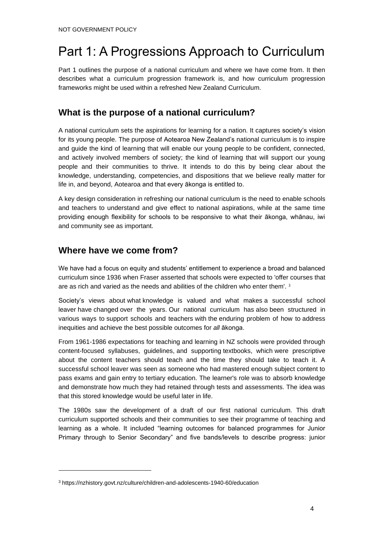# Part 1: A Progressions Approach to Curriculum

Part 1 outlines the purpose of a national curriculum and where we have come from. It then describes what a curriculum progression framework is, and how curriculum progression frameworks might be used within a refreshed New Zealand Curriculum.

## **What is the purpose of a national curriculum?**

A national curriculum sets the aspirations for learning for a nation. It captures society's vision for its young people. The purpose of Aotearoa New Zealand's national curriculum is to inspire and guide the kind of learning that will enable our young people to be confident, connected, and actively involved members of society; the kind of learning that will support our young people and their communities to thrive. It intends to do this by being clear about the knowledge, understanding, competencies, and dispositions that we believe really matter for life in, and beyond, Aotearoa and that every ākonga is entitled to.

A key design consideration in refreshing our national curriculum is the need to enable schools and teachers to understand and give effect to national aspirations, while at the same time providing enough flexibility for schools to be responsive to what their ākonga, whānau, iwi and community see as important.

### **Where have we come from?**

We have had a focus on equity and students' entitlement to experience a broad and balanced curriculum since 1936 when Fraser asserted that schools were expected to 'offer courses that are as rich and varied as the needs and abilities of the children who enter them'.<sup>3</sup>

Society's views about what knowledge is valued and what makes a successful school leaver have changed over the years. Our national curriculum has also been structured in various ways to support schools and teachers with the enduring problem of how to address inequities and achieve the best possible outcomes for *all* ākonga.

From 1961-1986 expectations for teaching and learning in NZ schools were provided through content-focused syllabuses, guidelines, and supporting textbooks, which were prescriptive about the content teachers should teach and the time they should take to teach it. A successful school leaver was seen as someone who had mastered enough subject content to pass exams and gain entry to tertiary education. The learner's role was to absorb knowledge and demonstrate how much they had retained through tests and assessments. The idea was that this stored knowledge would be useful later in life.

The 1980s saw the development of a draft of our first national curriculum. This draft curriculum supported schools and their communities to see their programme of teaching and learning as a whole. It included "learning outcomes for balanced programmes for Junior Primary through to Senior Secondary" and five bands/levels to describe progress: junior

<sup>3</sup> https://nzhistory.govt.nz/culture/children-and-adolescents-1940-60/education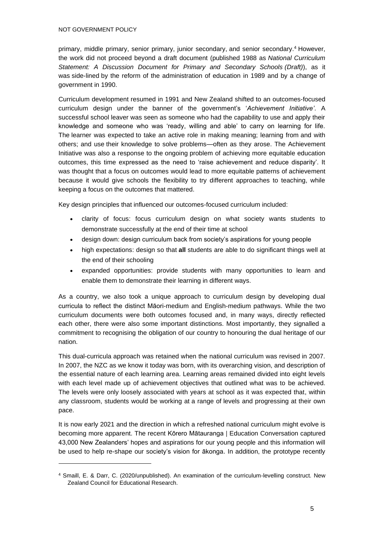primary, middle primary, senior primary, junior secondary, and senior secondary.<sup>4</sup> However, the work did not proceed beyond a draft document (published 1988 as *National Curriculum Statement: A Discussion Document for Primary and Secondary Schools (Draft)*), as it was side-lined by the reform of the administration of education in 1989 and by a change of government in 1990.

Curriculum development resumed in 1991 and New Zealand shifted to an outcomes-focused curriculum design under the banner of the government's '*Achievement Initiative'*. A successful school leaver was seen as someone who had the capability to use and apply their knowledge and someone who was 'ready, willing and able' to carry on learning for life. The learner was expected to take an active role in making meaning; learning from and with others; and use their knowledge to solve problems—often as they arose. The Achievement Initiative was also a response to the ongoing problem of achieving more equitable education outcomes, this time expressed as the need to 'raise achievement and reduce disparity'. It was thought that a focus on outcomes would lead to more equitable patterns of achievement because it would give schools the flexibility to try different approaches to teaching, while keeping a focus on the outcomes that mattered.

Key design principles that influenced our outcomes-focused curriculum included:

- clarity of focus: focus curriculum design on what society wants students to demonstrate successfully at the end of their time at school
- design down: design curriculum back from society's aspirations for young people
- high expectations: design so that **all** students are able to do significant things well at the end of their schooling
- expanded opportunities: provide students with many opportunities to learn and enable them to demonstrate their learning in different ways.

As a country, we also took a unique approach to curriculum design by developing dual curricula to reflect the distinct Māori-medium and English-medium pathways. While the two curriculum documents were both outcomes focused and, in many ways, directly reflected each other, there were also some important distinctions. Most importantly, they signalled a commitment to recognising the obligation of our country to honouring the dual heritage of our nation.

This dual-curricula approach was retained when the national curriculum was revised in 2007. In 2007, the NZC as we know it today was born, with its overarching vision, and description of the essential nature of each learning area. Learning areas remained divided into eight levels with each level made up of achievement objectives that outlined what was to be achieved. The levels were only loosely associated with years at school as it was expected that, within any classroom, students would be working at a range of levels and progressing at their own pace.

It is now early 2021 and the direction in which a refreshed national curriculum might evolve is becoming more apparent. The recent Kōrero Mātauranga | Education Conversation captured 43,000 New Zealanders' hopes and aspirations for our young people and this information will be used to help re-shape our society's vision for ākonga. In addition, the prototype recently

<sup>4</sup> Smaill, E. & Darr, C. (2020/unpublished). An examination of the curriculum-levelling construct. New Zealand Council for Educational Research.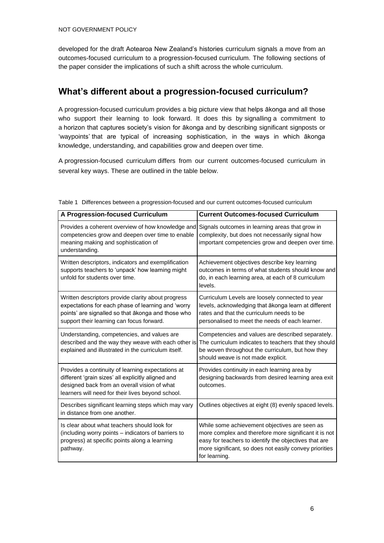developed for the draft Aotearoa New Zealand's histories curriculum signals a move from an outcomes-focused curriculum to a progression-focused curriculum. The following sections of the paper consider the implications of such a shift across the whole curriculum.

## **What's different about a progression-focused curriculum?**

A progression-focused curriculum provides a big picture view that helps ākonga and all those who support their learning to look forward. It does this by signalling a commitment to a horizon that captures society's vision for ākonga and by describing significant signposts or 'waypoints' that are typical of increasing sophistication, in the ways in which ākonga knowledge, understanding, and capabilities grow and deepen over time.

A progression-focused curriculum differs from our current outcomes-focused curriculum in several key ways. These are outlined in the table below.

| A Progression-focused Curriculum                                                                                                                                                                             | <b>Current Outcomes-focused Curriculum</b>                                                                                                                                                                                                 |  |  |
|--------------------------------------------------------------------------------------------------------------------------------------------------------------------------------------------------------------|--------------------------------------------------------------------------------------------------------------------------------------------------------------------------------------------------------------------------------------------|--|--|
| Provides a coherent overview of how knowledge and<br>competencies grow and deepen over time to enable<br>meaning making and sophistication of<br>understanding.                                              | Signals outcomes in learning areas that grow in<br>complexity, but does not necessarily signal how<br>important competencies grow and deepen over time.                                                                                    |  |  |
| Written descriptors, indicators and exemplification<br>supports teachers to 'unpack' how learning might<br>unfold for students over time.                                                                    | Achievement objectives describe key learning<br>outcomes in terms of what students should know and<br>do, in each learning area, at each of 8 curriculum<br>levels.                                                                        |  |  |
| Written descriptors provide clarity about progress<br>expectations for each phase of learning and 'worry<br>points' are signalled so that ākonga and those who<br>support their learning can focus forward.  | Curriculum Levels are loosely connected to year<br>levels, acknowledging that ākonga learn at different<br>rates and that the curriculum needs to be<br>personalised to meet the needs of each learner.                                    |  |  |
| Understanding, competencies, and values are<br>described and the way they weave with each other is<br>explained and illustrated in the curriculum itself.                                                    | Competencies and values are described separately.<br>The curriculum indicates to teachers that they should<br>be woven throughout the curriculum, but how they<br>should weave is not made explicit.                                       |  |  |
| Provides a continuity of learning expectations at<br>different 'grain sizes' all explicitly aligned and<br>designed back from an overall vision of what<br>learners will need for their lives beyond school. | Provides continuity in each learning area by<br>designing backwards from desired learning area exit<br>outcomes.                                                                                                                           |  |  |
| Describes significant learning steps which may vary<br>in distance from one another.                                                                                                                         | Outlines objectives at eight (8) evenly spaced levels.                                                                                                                                                                                     |  |  |
| Is clear about what teachers should look for<br>(including worry points – indicators of barriers to<br>progress) at specific points along a learning<br>pathway.                                             | While some achievement objectives are seen as<br>more complex and therefore more significant it is not<br>easy for teachers to identify the objectives that are<br>more significant, so does not easily convey priorities<br>for learning. |  |  |

<span id="page-7-0"></span>Table 1 Differences between a progression-focused and our current outcomes-focused curriculum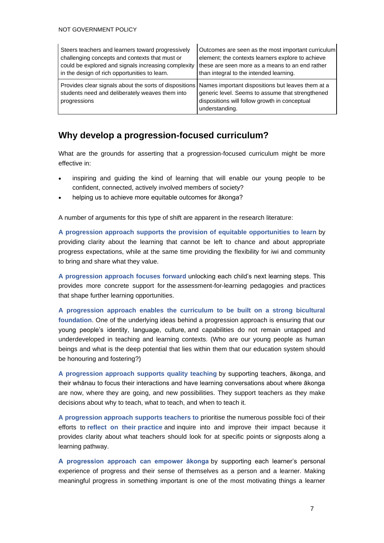| Steers teachers and learners toward progressively                                                                         | Outcomes are seen as the most important curriculum                                                                                                                       |  |  |
|---------------------------------------------------------------------------------------------------------------------------|--------------------------------------------------------------------------------------------------------------------------------------------------------------------------|--|--|
| challenging concepts and contexts that must or                                                                            | element; the contexts learners explore to achieve                                                                                                                        |  |  |
| could be explored and signals increasing complexity                                                                       | these are seen more as a means to an end rather                                                                                                                          |  |  |
| in the design of rich opportunities to learn.                                                                             | than integral to the intended learning.                                                                                                                                  |  |  |
| Provides clear signals about the sorts of dispositions<br>students need and deliberately weaves them into<br>progressions | Names important dispositions but leaves them at a<br>generic level. Seems to assume that strengthened<br>dispositions will follow growth in conceptual<br>understanding. |  |  |

## **Why develop a progression-focused curriculum?**

What are the grounds for asserting that a progression-focused curriculum might be more effective in:

- inspiring and guiding the kind of learning that will enable our young people to be confident, connected, actively involved members of society?
- helping us to achieve more equitable outcomes for ākonga?

A number of arguments for this type of shift are apparent in the research literature:

**A progression approach supports the provision of equitable opportunities to learn** by providing clarity about the learning that cannot be left to chance and about appropriate progress expectations, while at the same time providing the flexibility for iwi and community to bring and share what they value.

**A progression approach focuses forward** unlocking each child's next learning steps. This provides more concrete support for the assessment-for-learning pedagogies and practices that shape further learning opportunities.

**A progression approach enables the curriculum to be built on a strong bicultural foundation**. One of the underlying ideas behind a progression approach is ensuring that our young people's identity, language, culture, and capabilities do not remain untapped and underdeveloped in teaching and learning contexts. (Who are our young people as human beings and what is the deep potential that lies within them that our education system should be honouring and fostering?)

**A progression approach supports quality teaching** by supporting teachers, ākonga, and their whānau to focus their interactions and have learning conversations about where ākonga are now, where they are going, and new possibilities. They support teachers as they make decisions about why to teach, what to teach, and when to teach it.

**A progression approach supports teachers to** prioritise the numerous possible foci of their efforts to **reflect on their practice** and inquire into and improve their impact because it provides clarity about what teachers should look for at specific points or signposts along a learning pathway.

**A progression approach can empower ākonga** by supporting each learner's personal experience of progress and their sense of themselves as a person and a learner. Making meaningful progress in something important is one of the most motivating things a learner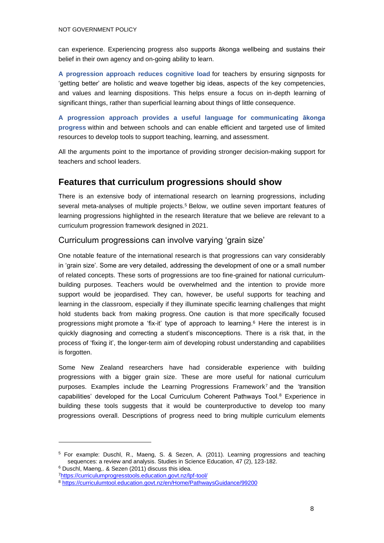can experience. Experiencing progress also supports ākonga wellbeing and sustains their belief in their own agency and on-going ability to learn.

**A progression approach reduces cognitive load** for teachers by ensuring signposts for 'getting better' are holistic and weave together big ideas, aspects of the key competencies, and values and learning dispositions. This helps ensure a focus on in-depth learning of significant things, rather than superficial learning about things of little consequence.

**A progression approach provides a useful language for communicating ākonga progress** within and between schools and can enable efficient and targeted use of limited resources to develop tools to support teaching, learning, and assessment.

All the arguments point to the importance of providing stronger decision-making support for teachers and school leaders.

#### **Features that curriculum progressions should show**

There is an extensive body of international research on learning progressions, including several meta-analyses of multiple projects.<sup>5</sup> Below, we outline seven important features of learning progressions highlighted in the research literature that we believe are relevant to a curriculum progression framework designed in 2021.

#### Curriculum progressions can involve varying 'grain size'

One notable feature of the international research is that progressions can vary considerably in 'grain size'. Some are very detailed, addressing the development of one or a small number of related concepts. These sorts of progressions are too fine-grained for national curriculumbuilding purposes. Teachers would be overwhelmed and the intention to provide more support would be jeopardised. They can, however, be useful supports for teaching and learning in the classroom, especially if they illuminate specific learning challenges that might hold students back from making progress. One caution is that more specifically focused progressions might promote a 'fix-it' type of approach to learning.<sup>6</sup> Here the interest is in quickly diagnosing and correcting a student's misconceptions. There is a risk that, in the process of 'fixing it', the longer-term aim of developing robust understanding and capabilities is forgotten.

Some New Zealand researchers have had considerable experience with building progressions with a bigger grain size. These are more useful for national curriculum purposes. Examples include the Learning Progressions Framework<sup>7</sup> and the 'transition capabilities' developed for the Local Curriculum Coherent Pathways Tool.<sup>8</sup> Experience in building these tools suggests that it would be counterproductive to develop too many progressions overall. Descriptions of progress need to bring multiple curriculum elements

<sup>5</sup> For example: Duschl, R., Maeng, S. & Sezen, A. (2011). Learning progressions and teaching sequences: a review and analysis. Studies in Science Education, 47 (2), 123-182. <sup>6</sup> Duschl, Maeng,. & Sezen (2011) discuss this idea.

<sup>7</sup><https://curriculumprogresstools.education.govt.nz/lpf-tool/>

<sup>8</sup> <https://curriculumtool.education.govt.nz/en/Home/PathwaysGuidance/99200>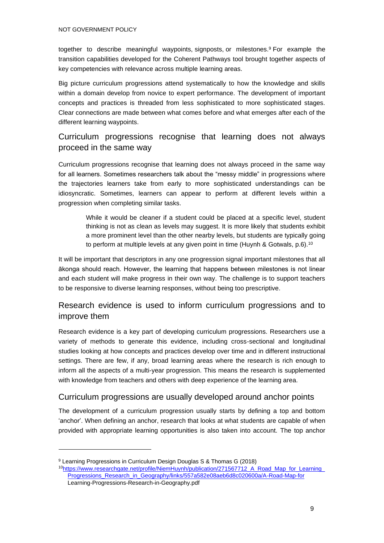together to describe meaningful waypoints, signposts, or milestones.<sup>9</sup> For example the transition capabilities developed for the Coherent Pathways tool brought together aspects of key competencies with relevance across multiple learning areas.

Big picture curriculum progressions attend systematically to how the knowledge and skills within a domain develop from novice to expert performance. The development of important concepts and practices is threaded from less sophisticated to more sophisticated stages. Clear connections are made between what comes before and what emerges after each of the different learning waypoints.

#### Curriculum progressions recognise that learning does not always proceed in the same way

Curriculum progressions recognise that learning does not always proceed in the same way for all learners. Sometimes researchers talk about the "messy middle" in progressions where the trajectories learners take from early to more sophisticated understandings can be idiosyncratic. Sometimes, learners can appear to perform at different levels within a progression when completing similar tasks.

> While it would be cleaner if a student could be placed at a specific level, student thinking is not as clean as levels may suggest. It is more likely that students exhibit a more prominent level than the other nearby levels, but students are typically going to perform at multiple levels at any given point in time (Huynh & Gotwals, p.6).<sup>10</sup>

It will be important that descriptors in any one progression signal important milestones that all ākonga should reach. However, the learning that happens between milestones is not linear and each student will make progress in their own way. The challenge is to support teachers to be responsive to diverse learning responses, without being too prescriptive.

### Research evidence is used to inform curriculum progressions and to improve them

Research evidence is a key part of developing curriculum progressions. Researchers use a variety of methods to generate this evidence, including cross-sectional and longitudinal studies looking at how concepts and practices develop over time and in different instructional settings. There are few, if any, broad learning areas where the research is rich enough to inform all the aspects of a multi-year progression. This means the research is supplemented with knowledge from teachers and others with deep experience of the learning area.

#### Curriculum progressions are usually developed around anchor points

The development of a curriculum progression usually starts by defining a top and bottom 'anchor'. When defining an anchor, research that looks at what students are capable of when provided with appropriate learning opportunities is also taken into account. The top anchor

<sup>9</sup> Learning Progressions in Curriculum Design Douglas S & Thomas G (2018) <sup>10</sup>https://www.researchgate.net/profile/NiemHuynh/publication/271567712\_A\_Road\_Map\_for\_Learning [Progressions\\_Research\\_in\\_Geography/links/557a582e08aeb6d8c020600a/A-Road-Map-for](https://www.researchgate.net/profile/NiemHuynh/publication/271567712_A_Road_Map_for_Learning_Progressions_Research_in_Geography/links/557a582e08aeb6d8c020600a/A-Road-Map-for)

Learning-Progressions-Research-in-Geography.pdf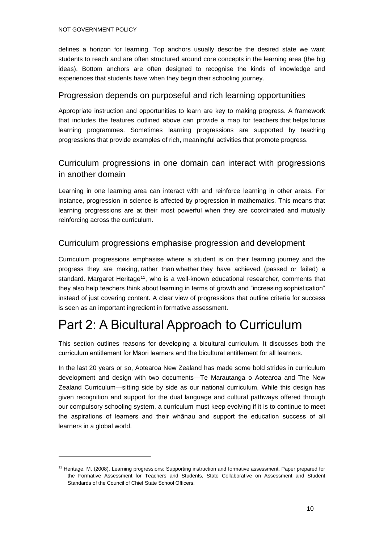defines a horizon for learning. Top anchors usually describe the desired state we want students to reach and are often structured around core concepts in the learning area (the big ideas). Bottom anchors are often designed to recognise the kinds of knowledge and experiences that students have when they begin their schooling journey.

#### Progression depends on purposeful and rich learning opportunities

Appropriate instruction and opportunities to learn are key to making progress. A framework that includes the features outlined above can provide a map for teachers that helps focus learning programmes. Sometimes learning progressions are supported by teaching progressions that provide examples of rich, meaningful activities that promote progress.

#### Curriculum progressions in one domain can interact with progressions in another domain

Learning in one learning area can interact with and reinforce learning in other areas. For instance, progression in science is affected by progression in mathematics. This means that learning progressions are at their most powerful when they are coordinated and mutually reinforcing across the curriculum.

#### Curriculum progressions emphasise progression and development

Curriculum progressions emphasise where a student is on their learning journey and the progress they are making, rather than whether they have achieved (passed or failed) a standard. Margaret Heritage<sup>11</sup>, who is a well-known educational researcher, comments that they also help teachers think about learning in terms of growth and "increasing sophistication" instead of just covering content. A clear view of progressions that outline criteria for success is seen as an important ingredient in formative assessment.

# Part 2: A Bicultural Approach to Curriculum

This section outlines reasons for developing a bicultural curriculum. It discusses both the curriculum entitlement for Māori learners and the bicultural entitlement for all learners.

In the last 20 years or so, Aotearoa New Zealand has made some bold strides in curriculum development and design with two documents—Te Marautanga o Aotearoa and The New Zealand Curriculum—sitting side by side as our national curriculum. While this design has given recognition and support for the dual language and cultural pathways offered through our compulsory schooling system, a curriculum must keep evolving if it is to continue to meet the aspirations of learners and their whānau and support the education success of all learners in a global world.

<sup>11</sup> Heritage, M. (2008). Learning progressions: Supporting instruction and formative assessment. Paper prepared for the Formative Assessment for Teachers and Students, State Collaborative on Assessment and Student Standards of the Council of Chief State School Officers.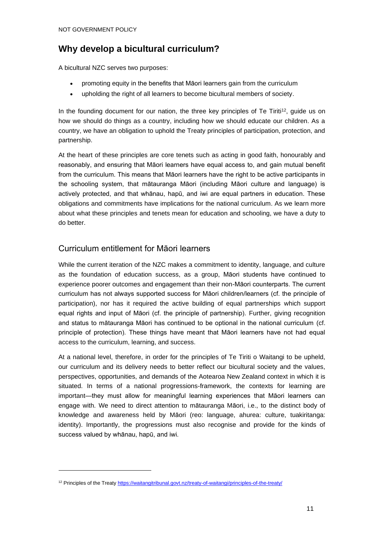## **Why develop a bicultural curriculum?**

A bicultural NZC serves two purposes:

- promoting equity in the benefits that Māori learners gain from the curriculum
- upholding the right of all learners to become bicultural members of society.

In the founding document for our nation, the three key principles of Te Tiriti<sup>12</sup>, quide us on how we should do things as a country, including how we should educate our children. As a country, we have an obligation to uphold the Treaty principles of participation, protection, and partnership.

At the heart of these principles are core tenets such as acting in good faith, honourably and reasonably, and ensuring that Māori learners have equal access to, and gain mutual benefit from the curriculum. This means that Māori learners have the right to be active participants in the schooling system, that mātauranga Māori (including Māori culture and language) is actively protected, and that whānau, hapū, and iwi are equal partners in education. These obligations and commitments have implications for the national curriculum. As we learn more about what these principles and tenets mean for education and schooling, we have a duty to do better.

#### Curriculum entitlement for Māori learners

While the current iteration of the NZC makes a commitment to identity, language, and culture as the foundation of education success, as a group, Māori students have continued to experience poorer outcomes and engagement than their non-Māori counterparts. The current curriculum has not always supported success for Māori children/learners (cf. the principle of participation), nor has it required the active building of equal partnerships which support equal rights and input of Māori (cf. the principle of partnership). Further, giving recognition and status to mātauranga Māori has continued to be optional in the national curriculum (cf. principle of protection). These things have meant that Māori learners have not had equal access to the curriculum, learning, and success.

At a national level, therefore, in order for the principles of Te Tiriti o Waitangi to be upheld, our curriculum and its delivery needs to better reflect our bicultural society and the values, perspectives, opportunities, and demands of the Aotearoa New Zealand context in which it is situated. In terms of a national progressions-framework, the contexts for learning are important—they must allow for meaningful learning experiences that Māori learners can engage with. We need to direct attention to mātauranga Māori, i.e., to the distinct body of knowledge and awareness held by Māori (reo: language, ahurea: culture, tuakiritanga: identity). Importantly, the progressions must also recognise and provide for the kinds of success valued by whānau, hapū, and iwi.

<sup>&</sup>lt;sup>12</sup> Principles of the Treat[y https://waitangitribunal.govt.nz/treaty-of-waitangi/principles-of-the-treaty/](https://waitangitribunal.govt.nz/treaty-of-waitangi/principles-of-the-treaty/)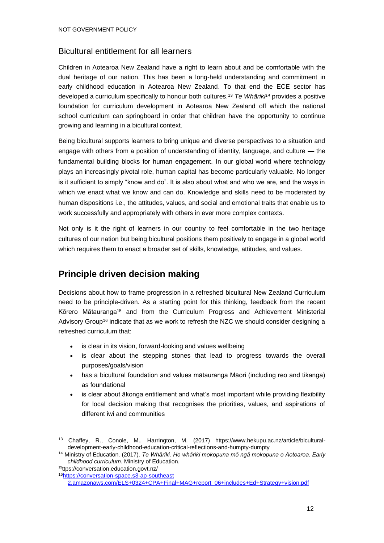#### Bicultural entitlement for all learners

Children in Aotearoa New Zealand have a right to learn about and be comfortable with the dual heritage of our nation. This has been a long-held understanding and commitment in early childhood education in Aotearoa New Zealand. To that end the ECE sector has developed a curriculum specifically to honour both cultures.<sup>13</sup> *Te Whāriki<sup>14</sup>* provides a positive foundation for curriculum development in Aotearoa New Zealand off which the national school curriculum can springboard in order that children have the opportunity to continue growing and learning in a bicultural context.

Being bicultural supports learners to bring unique and diverse perspectives to a situation and engage with others from a position of understanding of identity, language, and culture — the fundamental building blocks for human engagement. In our global world where technology plays an increasingly pivotal role, human capital has become particularly valuable. No longer is it sufficient to simply "know and do". It is also about what and who we are, and the ways in which we enact what we know and can do. Knowledge and skills need to be moderated by human dispositions i.e., the attitudes, values, and social and emotional traits that enable us to work successfully and appropriately with others in ever more complex contexts.

Not only is it the right of learners in our country to feel comfortable in the two heritage cultures of our nation but being bicultural positions them positively to engage in a global world which requires them to enact a broader set of skills, knowledge, attitudes, and values.

## **Principle driven decision making**

Decisions about how to frame progression in a refreshed bicultural New Zealand Curriculum need to be principle-driven. As a starting point for this thinking, feedback from the recent Kōrero Mātauranga<sup>15</sup> and from the Curriculum Progress and Achievement Ministerial Advisory Group<sup>16</sup> indicate that as we work to refresh the NZC we should consider designing a refreshed curriculum that:

- is clear in its vision, forward-looking and values wellbeing
- is clear about the stepping stones that lead to progress towards the overall purposes/goals/vision
- has a bicultural foundation and values mātauranga Māori (including reo and tikanga) as foundational
- is clear about ākonga entitlement and what's most important while providing flexibility for local decision making that recognises the priorities, values, and aspirations of different iwi and communities

<sup>15</sup>[ttps://conversation.education.govt.nz/](https://conversation.education.govt.nz/)

<sup>13</sup> Chaffey, R., Conole, M., Harrington, M. (2017) https://www.hekupu.ac.nz/article/biculturaldevelopment-early-childhood-education-critical-reflections-and-humpty-dumpty

<sup>14</sup> Ministry of Education. (2017). *Te Whāriki. He whāriki mokopuna mō ngā mokopuna o Aotearoa. Early childhood curriculum.* Ministry of Education.

<sup>16</sup>[https://conversation-space.s3-ap-southeast](https://conversation-space.s3-ap-southeast-2.amazonaws.com/ELS+0324+CPA+Final+MAG+report_06+includes+Ed+Strategy+vision.pdf) 

[<sup>2.</sup>amazonaws.com/ELS+0324+CPA+Final+MAG+report\\_06+includes+Ed+Strategy+vision.pdf](https://conversation-space.s3-ap-southeast-2.amazonaws.com/ELS+0324+CPA+Final+MAG+report_06+includes+Ed+Strategy+vision.pdf)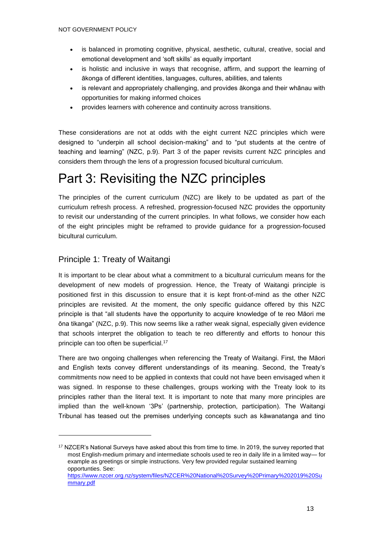- is balanced in promoting cognitive, physical, aesthetic, cultural, creative, social and emotional development and 'soft skills' as equally important
- is holistic and inclusive in ways that recognise, affirm, and support the learning of ākonga of different identities, languages, cultures, abilities, and talents
- is relevant and appropriately challenging, and provides ākonga and their whānau with opportunities for making informed choices
- provides learners with coherence and continuity across transitions.

These considerations are not at odds with the eight current NZC principles which were designed to "underpin all school decision-making" and to "put students at the centre of teaching and learning" (NZC, p.9). Part 3 of the paper revisits current NZC principles and considers them through the lens of a progression focused bicultural curriculum.

# Part 3: Revisiting the NZC principles

The principles of the current curriculum (NZC) are likely to be updated as part of the curriculum refresh process. A refreshed, progression-focused NZC provides the opportunity to revisit our understanding of the current principles. In what follows, we consider how each of the eight principles might be reframed to provide guidance for a progression-focused bicultural curriculum.

## Principle 1: Treaty of Waitangi

It is important to be clear about what a commitment to a bicultural curriculum means for the development of new models of progression. Hence, the Treaty of Waitangi principle is positioned first in this discussion to ensure that it is kept front-of-mind as the other NZC principles are revisited. At the moment, the only specific guidance offered by this NZC principle is that "all students have the opportunity to acquire knowledge of te reo Māori me ōna tikanga" (NZC, p.9). This now seems like a rather weak signal, especially given evidence that schools interpret the obligation to teach te reo differently and efforts to honour this principle can too often be superficial.<sup>17</sup>

There are two ongoing challenges when referencing the Treaty of Waitangi. First, the Māori and English texts convey different understandings of its meaning. Second, the Treaty's commitments now need to be applied in contexts that could not have been envisaged when it was signed. In response to these challenges, groups working with the Treaty look to its principles rather than the literal text. It is important to note that many more principles are implied than the well-known '3Ps' (partnership, protection, participation). The Waitangi Tribunal has teased out the premises underlying concepts such as kāwanatanga and tino

<sup>&</sup>lt;sup>17</sup> NZCER's National Surveys have asked about this from time to time. In 2019, the survey reported that most English-medium primary and intermediate schools used te reo in daily life in a limited way— for example as greetings or simple instructions. Very few provided regular sustained learning opportunties. See:

[https://www.nzcer.org.nz/system/files/NZCER%20National%20Survey%20Primary%202019%20Su](https://www.nzcer.org.nz/system/files/NZCER%20National%20Survey%20Primary%202019%20Summary.pdf) [mmary.pdf](https://www.nzcer.org.nz/system/files/NZCER%20National%20Survey%20Primary%202019%20Summary.pdf)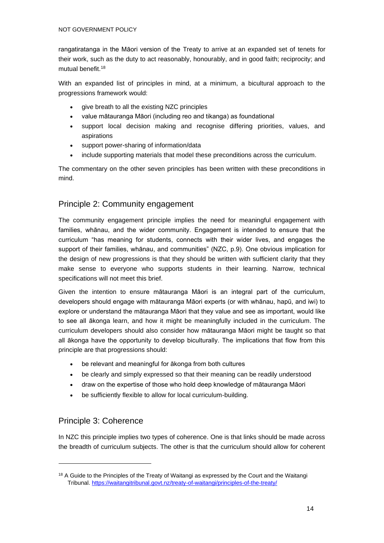rangatiratanga in the Māori version of the Treaty to arrive at an expanded set of tenets for their work, such as the duty to act reasonably, honourably, and in good faith; reciprocity; and mutual benefit.<sup>18</sup>

With an expanded list of principles in mind, at a minimum, a bicultural approach to the progressions framework would:

- give breath to all the existing NZC principles
- value mātauranga Māori (including reo and tikanga) as foundational
- support local decision making and recognise differing priorities, values, and aspirations
- support power-sharing of information/data
- include supporting materials that model these preconditions across the curriculum.

The commentary on the other seven principles has been written with these preconditions in mind.

#### Principle 2: Community engagement

The community engagement principle implies the need for meaningful engagement with families, whānau, and the wider community. Engagement is intended to ensure that the curriculum "has meaning for students, connects with their wider lives, and engages the support of their families, whānau, and communities" (NZC, p.9). One obvious implication for the design of new progressions is that they should be written with sufficient clarity that they make sense to everyone who supports students in their learning. Narrow, technical specifications will not meet this brief.

Given the intention to ensure mātauranga Māori is an integral part of the curriculum, developers should engage with mātauranga Māori experts (or with whānau, hapū, and iwi) to explore or understand the mātauranga Māori that they value and see as important, would like to see all ākonga learn, and how it might be meaningfully included in the curriculum. The curriculum developers should also consider how mātauranga Māori might be taught so that all ākonga have the opportunity to develop biculturally. The implications that flow from this principle are that progressions should:

- be relevant and meaningful for ākonga from both cultures
- be clearly and simply expressed so that their meaning can be readily understood
- draw on the expertise of those who hold deep knowledge of mātauranga Māori
- be sufficiently flexible to allow for local curriculum-building.

#### Principle 3: Coherence

In NZC this principle implies two types of coherence. One is that links should be made across the breadth of curriculum subjects. The other is that the curriculum should allow for coherent

<sup>&</sup>lt;sup>18</sup> A Guide to the Principles of the Treaty of Waitangi as expressed by the Court and the Waitangi Tribunal[. https://waitangitribunal.govt.nz/treaty-of-waitangi/principles-of-the-treaty/](https://waitangitribunal.govt.nz/treaty-of-waitangi/principles-of-the-treaty/)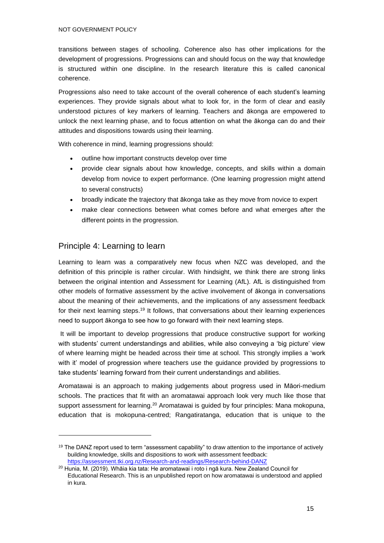transitions between stages of schooling. Coherence also has other implications for the development of progressions. Progressions can and should focus on the way that knowledge is structured within one discipline. In the research literature this is called canonical coherence.

Progressions also need to take account of the overall coherence of each student's learning experiences. They provide signals about what to look for, in the form of clear and easily understood pictures of key markers of learning. Teachers and ākonga are empowered to unlock the next learning phase, and to focus attention on what the ākonga can do and their attitudes and dispositions towards using their learning.

With coherence in mind, learning progressions should:

- outline how important constructs develop over time
- provide clear signals about how knowledge, concepts, and skills within a domain develop from novice to expert performance. (One learning progression might attend to several constructs)
- broadly indicate the trajectory that ākonga take as they move from novice to expert
- make clear connections between what comes before and what emerges after the different points in the progression.

#### Principle 4: Learning to learn

Learning to learn was a comparatively new focus when NZC was developed, and the definition of this principle is rather circular. With hindsight, we think there are strong links between the original intention and Assessment for Learning (AfL). AfL is distinguished from other models of formative assessment by the active involvement of ākonga in conversations about the meaning of their achievements, and the implications of any assessment feedback for their next learning steps.<sup>19</sup> It follows, that conversations about their learning experiences need to support ākonga to see how to go forward with their next learning steps.

It will be important to develop progressions that produce constructive support for working with students' current understandings and abilities, while also conveying a 'big picture' view of where learning might be headed across their time at school. This strongly implies a 'work with it' model of progression where teachers use the guidance provided by progressions to take students' learning forward from their current understandings and abilities.

Aromatawai is an approach to making judgements about progress used in Māori-medium schools. The practices that fit with an aromatawai approach look very much like those that support assessment for learning.<sup>20</sup> Aromatawai is guided by four principles: Mana mokopuna, education that is mokopuna-centred; Rangatiratanga, education that is unique to the

<sup>&</sup>lt;sup>19</sup> The DANZ report used to term "assessment capability" to draw attention to the importance of actively building knowledge, skills and dispositions to work with assessment feedback: <https://assessment.tki.org.nz/Research-and-readings/Research-behind-DANZ>

<sup>20</sup> Hunia, M. (2019). Whāia kia tata: He aromatawai i roto i ngā kura. New Zealand Council for Educational Research. This is an unpublished report on how aromatawai is understood and applied in kura.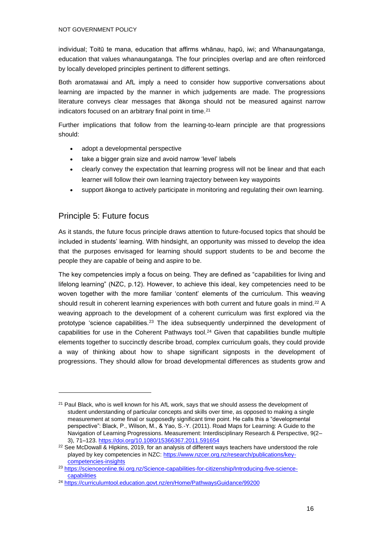individual; Toitū te mana, education that affirms whānau, hapū, iwi; and Whanaungatanga, education that values whanaungatanga. The four principles overlap and are often reinforced by locally developed principles pertinent to different settings.

Both aromatawai and AfL imply a need to consider how supportive conversations about learning are impacted by the manner in which judgements are made. The progressions literature conveys clear messages that ākonga should not be measured against narrow indicators focused on an arbitrary final point in time.<sup>21</sup>

Further implications that follow from the learning-to-learn principle are that progressions should:

- adopt a developmental perspective
- take a bigger grain size and avoid narrow 'level' labels
- clearly convey the expectation that learning progress will not be linear and that each learner will follow their own learning trajectory between key waypoints
- support ākonga to actively participate in monitoring and regulating their own learning.

#### Principle 5: Future focus

As it stands, the future focus principle draws attention to future-focused topics that should be included in students' learning. With hindsight, an opportunity was missed to develop the idea that the purposes envisaged for learning should support students to be and become the people they are capable of being and aspire to be.

The key competencies imply a focus on being. They are defined as "capabilities for living and lifelong learning" (NZC, p.12). However, to achieve this ideal, key competencies need to be woven together with the more familiar 'content' elements of the curriculum. This weaving should result in coherent learning experiences with both current and future goals in mind.<sup>22</sup> A weaving approach to the development of a coherent curriculum was first explored via the prototype 'science capabilities.<sup>23</sup> The idea subsequently underpinned the development of capabilities for use in the Coherent Pathways tool.<sup>24</sup> Given that capabilities bundle multiple elements together to succinctly describe broad, complex curriculum goals, they could provide a way of thinking about how to shape significant signposts in the development of progressions. They should allow for broad developmental differences as students grow and

<sup>&</sup>lt;sup>21</sup> Paul Black, who is well known for his AfL work, says that we should assess the development of student understanding of particular concepts and skills over time, as opposed to making a single measurement at some final or supposedly significant time point. He calls this a "developmental perspective": Black, P., Wilson, M., & Yao, S.-Y. (2011). Road Maps for Learning: A Guide to the Navigation of Learning Progressions. Measurement: Interdisciplinary Research & Perspective, 9(2– 3), 71–123.<https://doi.org/10.1080/15366367.2011.591654>

<sup>&</sup>lt;sup>22</sup> See McDowall & Hipkins, 2019, for an analysis of different ways teachers have understood the role played by key competencies in NZC: [https://www.nzcer.org.nz/research/publications/key](https://www.nzcer.org.nz/research/publications/key-competencies-insights)[competencies-insights](https://www.nzcer.org.nz/research/publications/key-competencies-insights)

<sup>23</sup> [https://scienceonline.tki.org.nz/Science-capabilities-for-citizenship/Introducing-five-science](https://scienceonline.tki.org.nz/Science-capabilities-for-citizenship/Introducing-five-science-capabilities)[capabilities](https://scienceonline.tki.org.nz/Science-capabilities-for-citizenship/Introducing-five-science-capabilities)

<sup>24</sup> <https://curriculumtool.education.govt.nz/en/Home/PathwaysGuidance/99200>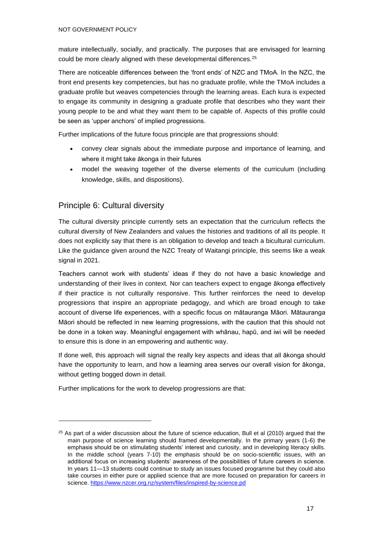mature intellectually, socially, and practically. The purposes that are envisaged for learning could be more clearly aligned with these developmental differences.<sup>25</sup>

There are noticeable differences between the 'front ends' of NZC and TMoA. In the NZC, the front end presents key competencies, but has no graduate profile, while the TMoA includes a graduate profile but weaves competencies through the learning areas. Each kura is expected to engage its community in designing a graduate profile that describes who they want their young people to be and what they want them to be capable of. Aspects of this profile could be seen as 'upper anchors' of implied progressions.

Further implications of the future focus principle are that progressions should:

- convey clear signals about the immediate purpose and importance of learning, and where it might take ākonga in their futures
- model the weaving together of the diverse elements of the curriculum (including knowledge, skills, and dispositions).

#### Principle 6: Cultural diversity

The cultural diversity principle currently sets an expectation that the curriculum reflects the cultural diversity of New Zealanders and values the histories and traditions of all its people. It does not explicitly say that there is an obligation to develop and teach a bicultural curriculum. Like the guidance given around the NZC Treaty of Waitangi principle, this seems like a weak signal in 2021.

Teachers cannot work with students' ideas if they do not have a basic knowledge and understanding of their lives in context. Nor can teachers expect to engage ākonga effectively if their practice is not culturally responsive. This further reinforces the need to develop progressions that inspire an appropriate pedagogy, and which are broad enough to take account of diverse life experiences, with a specific focus on mātauranga Māori. Mātauranga Māori should be reflected in new learning progressions, with the caution that this should not be done in a token way. Meaningful engagement with whānau, hapū, and iwi will be needed to ensure this is done in an empowering and authentic way.

If done well, this approach will signal the really key aspects and ideas that all ākonga should have the opportunity to learn, and how a learning area serves our overall vision for ākonga, without getting bogged down in detail.

Further implications for the work to develop progressions are that:

 $25$  As part of a wider discussion about the future of science education, Bull et al (2010) argued that the main purpose of science learning should framed developmentally. In the primary years (1-6) the emphasis should be on stimulating students' interest and curiosity, and in developing literacy skills. In the middle school (years 7-10) the emphasis should be on socio-scientific issues, with an additional focus on increasing students' awareness of the possibilities of future careers in science. In years 11—13 students could continue to study an issues focused programme but they could also take courses in either pure or applied science that are more focused on preparation for careers in science.<https://www.nzcer.org.nz/system/files/inspired-by-science.pd>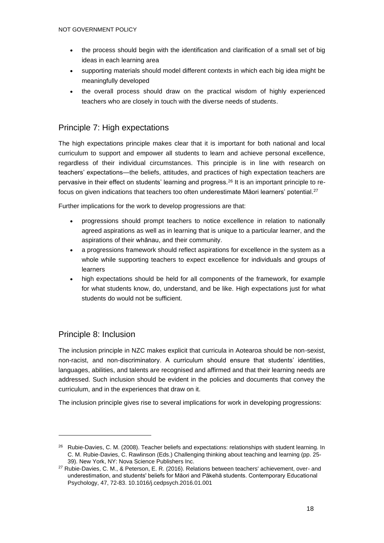- the process should begin with the identification and clarification of a small set of big ideas in each learning area
- supporting materials should model different contexts in which each big idea might be meaningfully developed
- the overall process should draw on the practical wisdom of highly experienced teachers who are closely in touch with the diverse needs of students.

#### Principle 7: High expectations

The high expectations principle makes clear that it is important for both national and local curriculum to support and empower all students to learn and achieve personal excellence, regardless of their individual circumstances. This principle is in line with research on teachers' expectations—the beliefs, attitudes, and practices of high expectation teachers are pervasive in their effect on students' learning and progress.<sup>26</sup> It is an important principle to refocus on given indications that teachers too often underestimate Māori learners' potential. $^{27}$ 

Further implications for the work to develop progressions are that:

- progressions should prompt teachers to notice excellence in relation to nationally agreed aspirations as well as in learning that is unique to a particular learner, and the aspirations of their whānau, and their community.
- a progressions framework should reflect aspirations for excellence in the system as a whole while supporting teachers to expect excellence for individuals and groups of learners
- high expectations should be held for all components of the framework, for example for what students know, do, understand, and be like. High expectations just for what students do would not be sufficient.

#### Principle 8: Inclusion

The inclusion principle in NZC makes explicit that curricula in Aotearoa should be non-sexist, non-racist, and non-discriminatory. A curriculum should ensure that students' identities, languages, abilities, and talents are recognised and affirmed and that their learning needs are addressed. Such inclusion should be evident in the policies and documents that convey the curriculum, and in the experiences that draw on it.

The inclusion principle gives rise to several implications for work in developing progressions:

<sup>&</sup>lt;sup>26</sup> Rubie-Davies, C. M. (2008). Teacher beliefs and expectations: relationships with student learning. In C. M. Rubie-Davies, C. Rawlinson (Eds.) Challenging thinking about teaching and learning (pp. 25- 39). New York, NY: Nova Science Publishers Inc.

<sup>&</sup>lt;sup>27</sup> Rubie-Davies, C. M., & Peterson, E. R. (2016). Relations between teachers' achievement, over- and underestimation, and students' beliefs for Māori and Pākehā students. Contemporary Educational Psychology, 47, 72-83. 10.1016/j.cedpsych.2016.01.001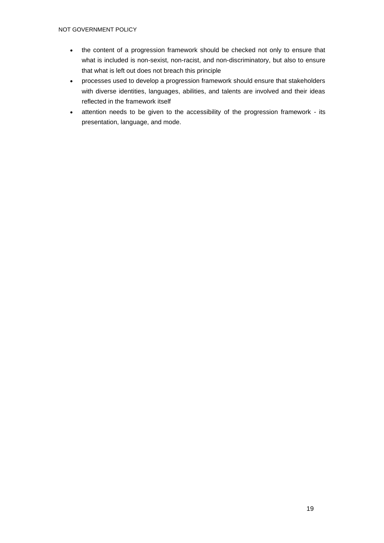- the content of a progression framework should be checked not only to ensure that what is included is non-sexist, non-racist, and non-discriminatory, but also to ensure that what is left out does not breach this principle
- processes used to develop a progression framework should ensure that stakeholders with diverse identities, languages, abilities, and talents are involved and their ideas reflected in the framework itself
- attention needs to be given to the accessibility of the progression framework its presentation, language, and mode.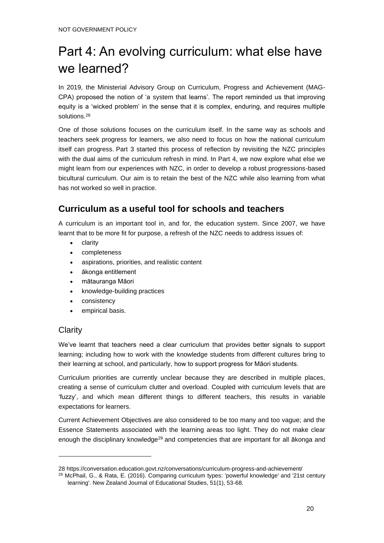# Part 4: An evolving curriculum: what else have we learned?

In 2019, the Ministerial Advisory Group on Curriculum, Progress and Achievement (MAG-CPA) proposed the notion of 'a system that learns'. The report reminded us that improving equity is a 'wicked problem' in the sense that it is complex, enduring, and requires multiple solutions.<sup>28</sup>

One of those solutions focuses on the curriculum itself. In the same way as schools and teachers seek progress for learners, we also need to focus on how the national curriculum itself can progress. Part 3 started this process of reflection by revisiting the NZC principles with the dual aims of the curriculum refresh in mind. In Part 4, we now explore what else we might learn from our experiences with NZC, in order to develop a robust progressions-based bicultural curriculum. Our aim is to retain the best of the NZC while also learning from what has not worked so well in practice.

## **Curriculum as a useful tool for schools and teachers**

A curriculum is an important tool in, and for, the education system. Since 2007, we have learnt that to be more fit for purpose, a refresh of the NZC needs to address issues of:

- clarity
- completeness
- aspirations, priorities, and realistic content
- ākonga entitlement
- mātauranga Māori
- knowledge-building practices
- consistency
- empirical basis.

#### **Clarity**

We've learnt that teachers need a clear curriculum that provides better signals to support learning; including how to work with the knowledge students from different cultures bring to their learning at school, and particularly, how to support progress for Māori students.

Curriculum priorities are currently unclear because they are described in multiple places, creating a sense of curriculum clutter and overload. Coupled with curriculum levels that are 'fuzzy', and which mean different things to different teachers, this results in variable expectations for learners.

Current Achievement Objectives are also considered to be too many and too vague; and the Essence Statements associated with the learning areas too light. They do not make clear enough the disciplinary knowledge<sup>29</sup> and competencies that are important for all akonga and

<sup>28</sup> <https://conversation.education.govt.nz/conversations/curriculum-progress-and-achievement/>

<sup>29</sup> McPhail, G., & Rata, E. (2016). Comparing curriculum types: 'powerful knowledge' and '21st century learning'. New Zealand Journal of Educational Studies, 51(1), 53-68.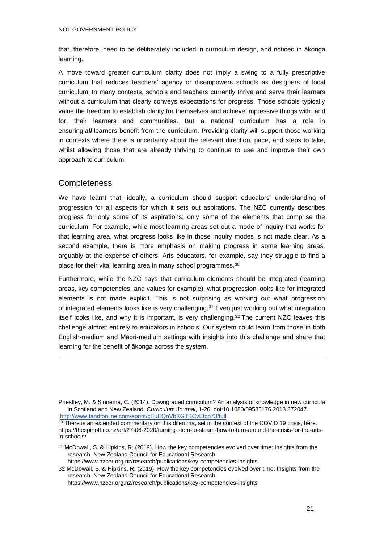that, therefore, need to be deliberately included in curriculum design, and noticed in ākonga learning.

A move toward greater curriculum clarity does not imply a swing to a fully prescriptive curriculum that reduces teachers' agency or disempowers schools as designers of local curriculum. In many contexts, schools and teachers currently thrive and serve their learners without a curriculum that clearly conveys expectations for progress. Those schools typically value the freedom to establish clarity for themselves and achieve impressive things with, and for, their learners and communities. But a national curriculum has a role in ensuring *all* learners benefit from the curriculum. Providing clarity will support those working in contexts where there is uncertainty about the relevant direction, pace, and steps to take, whilst allowing those that are already thriving to continue to use and improve their own approach to curriculum.

#### **Completeness**

We have learnt that, ideally, a curriculum should support educators' understanding of progression for all aspects for which it sets out aspirations. The NZC currently describes progress for only some of its aspirations; only some of the elements that comprise the curriculum. For example, while most learning areas set out a mode of inquiry that works for that learning area, what progress looks like in those inquiry modes is not made clear. As a second example, there is more emphasis on making progress in some learning areas, arguably at the expense of others. Arts educators, for example, say they struggle to find a place for their vital learning area in many school programmes.<sup>30</sup>

Furthermore, while the NZC says that curriculum elements should be integrated (learning areas, key competencies, and values for example), what progression looks like for integrated elements is not made explicit. This is not surprising as working out what progression of integrated elements looks like is very challenging.<sup>31</sup> Even just working out what integration itself looks like, and why it is important, is very challenging.<sup>32</sup> The current NZC leaves this challenge almost entirely to educators in schools. Our system could learn from those in both English-medium and Māori-medium settings with insights into this challenge and share that learning for the benefit of ākonga across the system.

<https://www.nzcer.org.nz/research/publications/key-competencies-insights>

Priestley, M. & Sinnema, C. (2014). Downgraded curriculum? An analysis of knowledge in new curricula in Scotland and New Zealand. *Curriculum Journal*, 1-26. doi:10.1080/09585176.2013.872047. <http://www.tandfonline.com/eprint/cEuEQnVbKGTBCvEfcp73/full>

<sup>&</sup>lt;sup>30</sup> There is an extended commentary on this dilemma, set in the context of the COVID 19 crisis, here: [https://thespinoff.co.nz/art/27-06-2020/turning-stem-to-steam-how-to-turn-around-the-crisis-for-the-arts](https://thespinoff.co.nz/art/27-06-2020/turning-stem-to-steam-how-to-turn-around-the-crisis-for-the-arts-in-schools/)[in-schools/](https://thespinoff.co.nz/art/27-06-2020/turning-stem-to-steam-how-to-turn-around-the-crisis-for-the-arts-in-schools/)

<sup>&</sup>lt;sup>31</sup> McDowall, S. & Hipkins, R. (2019). How the key competencies evolved over time: Insights from the research. New Zealand Council for Educational Research[.](https://www.nzcer.org.nz/research/publications/key-competencies-insights) <https://www.nzcer.org.nz/research/publications/key-competencies-insights>

<sup>32</sup> McDowall, S. & Hipkins, R. (2019). How the key competencies evolved over time: Insights from the research. New Zealand Council for Educational Research[.](https://www.nzcer.org.nz/research/publications/key-competencies-insights)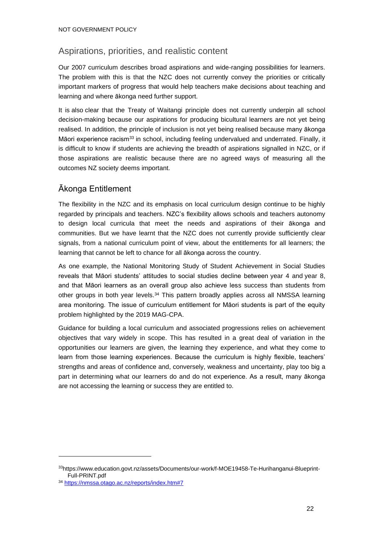### Aspirations, priorities, and realistic content

Our 2007 curriculum describes broad aspirations and wide-ranging possibilities for learners. The problem with this is that the NZC does not currently convey the priorities or critically important markers of progress that would help teachers make decisions about teaching and learning and where ākonga need further support.

It is also clear that the Treaty of Waitangi principle does not currently underpin all school decision-making because our aspirations for producing bicultural learners are not yet being realised. In addition, the principle of inclusion is not yet being realised because many ākonga Māori experience racism<sup>33</sup> in school, including feeling undervalued and underrated. Finally, it is difficult to know if students are achieving the breadth of aspirations signalled in NZC, or if those aspirations are realistic because there are no agreed ways of measuring all the outcomes NZ society deems important.

### Ākonga Entitlement

The flexibility in the NZC and its emphasis on local curriculum design continue to be highly regarded by principals and teachers. NZC's flexibility allows schools and teachers autonomy to design local curricula that meet the needs and aspirations of their ākonga and communities. But we have learnt that the NZC does not currently provide sufficiently clear signals, from a national curriculum point of view, about the entitlements for all learners; the learning that cannot be left to chance for all ākonga across the country.

As one example, the National Monitoring Study of Student Achievement in Social Studies reveals that Māori students' attitudes to social studies decline between year 4 and year 8, and that Māori learners as an overall group also achieve less success than students from other groups in both year levels.<sup>34</sup> This pattern broadly applies across all NMSSA learning area monitoring. The issue of curriculum entitlement for Māori students is part of the equity problem highlighted by the 2019 MAG-CPA.

Guidance for building a local curriculum and associated progressions relies on achievement objectives that vary widely in scope. This has resulted in a great deal of variation in the opportunities our learners are given, the learning they experience, and what they come to learn from those learning experiences. Because the curriculum is highly flexible, teachers' strengths and areas of confidence and, conversely, weakness and uncertainty, play too big a part in determining what our learners do and do not experience. As a result, many ākonga are not accessing the learning or success they are entitled to.

<sup>33</sup>[https://www.education.govt.nz/assets/Documents/our-work/f-MOE19458-Te-Hurihanganui-Blueprint-](https://www.education.govt.nz/assets/Documents/our-work/f-MOE19458-Te-Hurihanganui-Blueprint-Full-PRINT.pdf)[Full-PRINT.pdf](https://www.education.govt.nz/assets/Documents/our-work/f-MOE19458-Te-Hurihanganui-Blueprint-Full-PRINT.pdf)

<sup>34</sup> <https://nmssa.otago.ac.nz/reports/index.htm#7>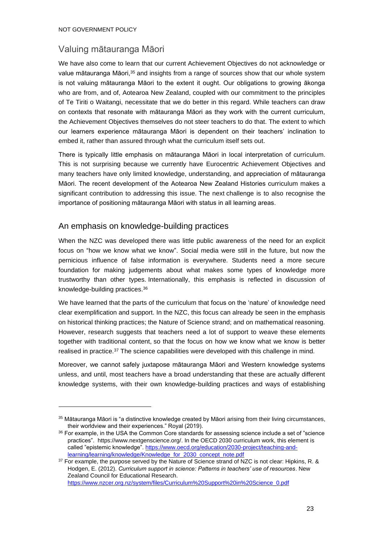#### Valuing mātauranga Māori

We have also come to learn that our current Achievement Objectives do not acknowledge or value mātauranga Māori,<sup>35</sup> and insights from a range of sources show that our whole system is not valuing mātauranga Māori to the extent it ought. Our obligations to growing ākonga who are from, and of, Aotearoa New Zealand, coupled with our commitment to the principles of Te Tiriti o Waitangi, necessitate that we do better in this regard. While teachers can draw on contexts that resonate with mātauranga Māori as they work with the current curriculum, the Achievement Objectives themselves do not steer teachers to do that. The extent to which our learners experience mātauranga Māori is dependent on their teachers' inclination to embed it, rather than assured through what the curriculum itself sets out.

There is typically little emphasis on mātauranga Māori in local interpretation of curriculum. This is not surprising because we currently have Eurocentric Achievement Objectives and many teachers have only limited knowledge, understanding, and appreciation of mātauranga Māori. The recent development of the Aotearoa New Zealand Histories curriculum makes a significant contribution to addressing this issue. The next challenge is to also recognise the importance of positioning mātauranga Māori with status in all learning areas.

#### An emphasis on knowledge-building practices

When the NZC was developed there was little public awareness of the need for an explicit focus on "how we know what we know". Social media were still in the future, but now the pernicious influence of false information is everywhere. Students need a more secure foundation for making judgements about what makes some types of knowledge more trustworthy than other types. Internationally, this emphasis is reflected in discussion of knowledge-building practices.<sup>36</sup>

We have learned that the parts of the curriculum that focus on the 'nature' of knowledge need clear exemplification and support. In the NZC, this focus can already be seen in the emphasis on historical thinking practices; the Nature of Science strand; and on mathematical reasoning. However, research suggests that teachers need a lot of support to weave these elements together with traditional content, so that the focus on how we know what we know is better realised in practice.<sup>37</sup> The science capabilities were developed with this challenge in mind.

Moreover, we cannot safely juxtapose mātauranga Māori and Western knowledge systems unless, and until, most teachers have a broad understanding that these are actually different knowledge systems, with their own knowledge-building practices and ways of establishing

[https://www.nzcer.org.nz/system/files/Curriculum%20Support%20in%20Science\\_0.pdf](https://www.nzcer.org.nz/system/files/Curriculum%20Support%20in%20Science_0.pdf)

<sup>&</sup>lt;sup>35</sup> Mātauranga Māori is "a distinctive knowledge created by Māori arising from their living circumstances, their worldview and their experiences." Royal (2019).

<sup>36</sup> For example, in the USA the Common Core standards for assessing science include a set of "science practices". [https://www.nextgenscience.org/.](https://www.nextgenscience.org/) In the OECD 2030 curriculum work, this element is called "epistemic knowledge". [https://www.oecd.org/education/2030-project/teaching-and](https://www.oecd.org/education/2030-project/teaching-and-learning/learning/knowledge/Knowledge_for_2030_concept_note.pdf)[learning/learning/knowledge/Knowledge\\_for\\_2030\\_concept\\_note.pdf](https://www.oecd.org/education/2030-project/teaching-and-learning/learning/knowledge/Knowledge_for_2030_concept_note.pdf)

 $37$  For example, the purpose served by the Nature of Science strand of NZC is not clear: Hipkins, R. & Hodgen, E. (2012). *Curriculum support in science: Patterns in teachers' use of resources*. New Zealand Council for Educational Research.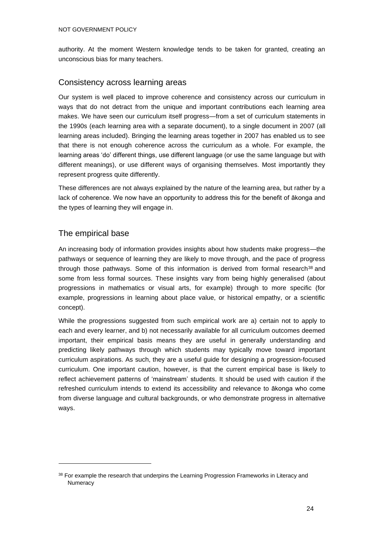authority. At the moment Western knowledge tends to be taken for granted, creating an unconscious bias for many teachers.

#### Consistency across learning areas

Our system is well placed to improve coherence and consistency across our curriculum in ways that do not detract from the unique and important contributions each learning area makes. We have seen our curriculum itself progress—from a set of curriculum statements in the 1990s (each learning area with a separate document), to a single document in 2007 (all learning areas included). Bringing the learning areas together in 2007 has enabled us to see that there is not enough coherence across the curriculum as a whole. For example, the learning areas 'do' different things, use different language (or use the same language but with different meanings), or use different ways of organising themselves. Most importantly they represent progress quite differently.

These differences are not always explained by the nature of the learning area, but rather by a lack of coherence. We now have an opportunity to address this for the benefit of ākonga and the types of learning they will engage in.

#### The empirical base

An increasing body of information provides insights about how students make progress—the pathways or sequence of learning they are likely to move through, and the pace of progress through those pathways. Some of this information is derived from formal research<sup>38</sup> and some from less formal sources. These insights vary from being highly generalised (about progressions in mathematics or visual arts, for example) through to more specific (for example, progressions in learning about place value, or historical empathy, or a scientific concept).

While the progressions suggested from such empirical work are a) certain not to apply to each and every learner, and b) not necessarily available for all curriculum outcomes deemed important, their empirical basis means they are useful in generally understanding and predicting likely pathways through which students may typically move toward important curriculum aspirations. As such, they are a useful guide for designing a progression-focused curriculum. One important caution, however, is that the current empirical base is likely to reflect achievement patterns of 'mainstream' students. It should be used with caution if the refreshed curriculum intends to extend its accessibility and relevance to ākonga who come from diverse language and cultural backgrounds, or who demonstrate progress in alternative ways.

<sup>&</sup>lt;sup>38</sup> For example the research that underpins the Learning Progression Frameworks in Literacy and **Numeracy**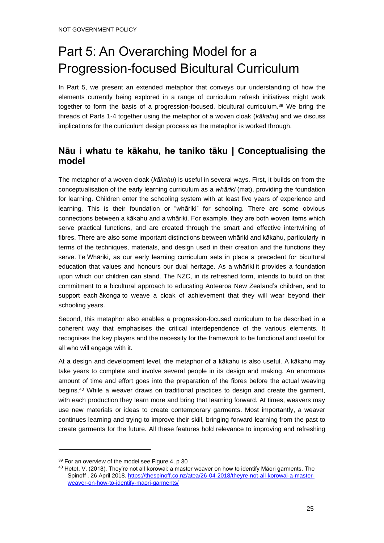# Part 5: An Overarching Model for a Progression-focused Bicultural Curriculum

In Part 5, we present an extended metaphor that conveys our understanding of how the elements currently being explored in a range of curriculum refresh initiatives might work together to form the basis of a progression-focused, bicultural curriculum.<sup>39</sup> We bring the threads of Parts 1-4 together using the metaphor of a woven cloak (*kākahu*) and we discuss implications for the curriculum design process as the metaphor is worked through.

## **Nāu i whatu te kākahu, he taniko tāku | Conceptualising the model**

The metaphor of a woven cloak (*kākahu*) is useful in several ways. First, it builds on from the conceptualisation of the early learning curriculum as a *whāriki* (mat), providing the foundation for learning. Children enter the schooling system with at least five years of experience and learning. This is their foundation or "whāriki" for schooling. There are some obvious connections between a kākahu and a whāriki. For example, they are both woven items which serve practical functions, and are created through the smart and effective intertwining of fibres. There are also some important distinctions between whāriki and kākahu, particularly in terms of the techniques, materials, and design used in their creation and the functions they serve. Te Whāriki, as our early learning curriculum sets in place a precedent for bicultural education that values and honours our dual heritage. As a whāriki it provides a foundation upon which our children can stand. The NZC, in its refreshed form, intends to build on that commitment to a bicultural approach to educating Aotearoa New Zealand's children, and to support each ākonga to weave a cloak of achievement that they will wear beyond their schooling years.

Second, this metaphor also enables a progression-focused curriculum to be described in a coherent way that emphasises the critical interdependence of the various elements. It recognises the key players and the necessity for the framework to be functional and useful for all who will engage with it.

At a design and development level, the metaphor of a kākahu is also useful. A kākahu may take years to complete and involve several people in its design and making. An enormous amount of time and effort goes into the preparation of the fibres before the actual weaving begins.<sup>40</sup> While a weaver draws on traditional practices to design and create the garment, with each production they learn more and bring that learning forward. At times, weavers may use new materials or ideas to create contemporary garments. Most importantly, a weaver continues learning and trying to improve their skill, bringing forward learning from the past to create garments for the future. All these features hold relevance to improving and refreshing

<sup>&</sup>lt;sup>39</sup> For an overview of the model see Figure 4, p 30

<sup>&</sup>lt;sup>40</sup> Hetet, V. (2018). They're not all korowai: a master weaver on how to identify Māori garments. The Spinoff , 26 April 2018[. https://thespinoff.co.nz/atea/26-04-2018/theyre-not-all-korowai-a-master](https://thespinoff.co.nz/atea/26-04-2018/theyre-not-all-korowai-a-master-weaver-on-how-to-identify-maori-garments/)[weaver-on-how-to-identify-maori-garments/](https://thespinoff.co.nz/atea/26-04-2018/theyre-not-all-korowai-a-master-weaver-on-how-to-identify-maori-garments/)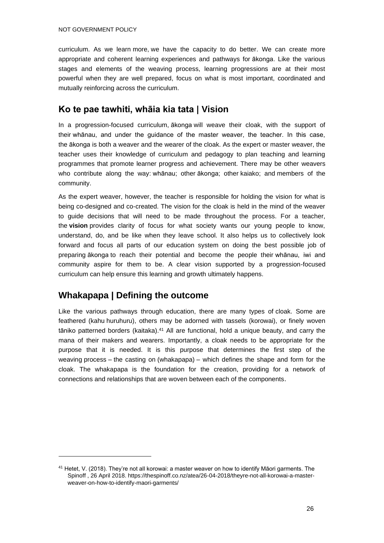curriculum. As we learn more, we have the capacity to do better. We can create more appropriate and coherent learning experiences and pathways for ākonga. Like the various stages and elements of the weaving process, learning progressions are at their most powerful when they are well prepared, focus on what is most important, coordinated and mutually reinforcing across the curriculum.

#### **Ko te pae tawhiti, whāia kia tata | Vision**

In a progression-focused curriculum, ākonga will weave their cloak, with the support of their whānau, and under the guidance of the master weaver, the teacher. In this case, the ākonga is both a weaver and the wearer of the cloak. As the expert or master weaver, the teacher uses their knowledge of curriculum and pedagogy to plan teaching and learning programmes that promote learner progress and achievement. There may be other weavers who contribute along the way: whānau; other ākonga; other kaiako; and members of the community.

As the expert weaver, however, the teacher is responsible for holding the vision for what is being co-designed and co-created. The vision for the cloak is held in the mind of the weaver to guide decisions that will need to be made throughout the process. For a teacher, the **vision** provides clarity of focus for what society wants our young people to know, understand, do, and be like when they leave school. It also helps us to collectively look forward and focus all parts of our education system on doing the best possible job of preparing ākonga to reach their potential and become the people their whānau, iwi and community aspire for them to be. A clear vision supported by a progression-focused curriculum can help ensure this learning and growth ultimately happens.

#### **Whakapapa | Defining the outcome**

Like the various pathways through education, there are many types of cloak. Some are feathered (kahu huruhuru), others may be adorned with tassels (korowai), or finely woven tāniko patterned borders (kaitaka).<sup>41</sup> All are functional, hold a unique beauty, and carry the mana of their makers and wearers. Importantly, a cloak needs to be appropriate for the purpose that it is needed. It is this purpose that determines the first step of the weaving process – the casting on (whakapapa) – which defines the shape and form for the cloak. The whakapapa is the foundation for the creation, providing for a network of connections and relationships that are woven between each of the components.

<sup>41</sup> Hetet, V. (2018). They're not all korowai: a master weaver on how to identify Māori garments. The Spinoff , 26 April 2018. https://thespinoff.co.nz/atea/26-04-2018/theyre-not-all-korowai-a-masterweaver-on-how-to-identify-maori-garments/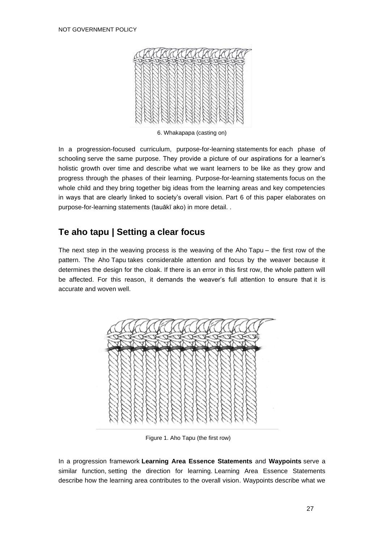

6. Whakapapa (casting on)

<span id="page-28-0"></span>In a progression-focused curriculum, purpose-for-learning statements for each phase of schooling serve the same purpose. They provide a picture of our aspirations for a learner's holistic growth over time and describe what we want learners to be like as they grow and progress through the phases of their learning. Purpose-for-learning statements focus on the whole child and they bring together big ideas from the learning areas and key competencies in ways that are clearly linked to society's overall vision. Part 6 of this paper elaborates on purpose-for-learning statements (tauākī ako) in more detail. .

### **Te aho tapu | Setting a clear focus**

The next step in the weaving process is the weaving of the Aho Tapu – the first row of the pattern. The Aho Tapu takes considerable attention and focus by the weaver because it determines the design for the cloak. If there is an error in this first row, the whole pattern will be affected. For this reason, it demands the weaver's full attention to ensure that it is accurate and woven well.



Figure 1. Aho Tapu (the first row)

<span id="page-28-1"></span>In a progression framework **Learning Area Essence Statements** and **Waypoints** serve a similar function, setting the direction for learning. Learning Area Essence Statements describe how the learning area contributes to the overall vision. Waypoints describe what we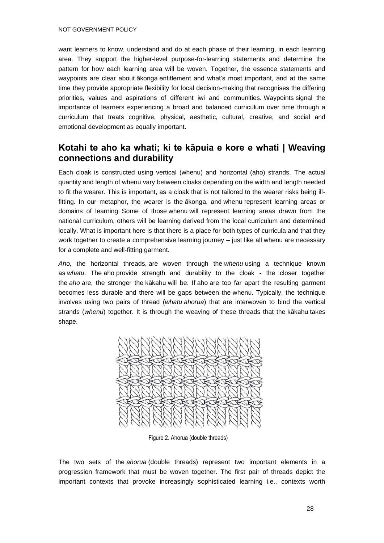want learners to know, understand and do at each phase of their learning, in each learning area. They support the higher-level purpose-for-learning statements and determine the pattern for how each learning area will be woven. Together, the essence statements and waypoints are clear about ākonga entitlement and what's most important, and at the same time they provide appropriate flexibility for local decision-making that recognises the differing priorities, values and aspirations of different iwi and communities. Waypoints signal the importance of learners experiencing a broad and balanced curriculum over time through a curriculum that treats cognitive, physical, aesthetic, cultural, creative, and social and emotional development as equally important.

#### **Kotahi te aho ka whati; ki te kāpuia e kore e whati | Weaving connections and durability**

Each cloak is constructed using vertical (whenu) and horizontal (aho) strands. The actual quantity and length of whenu vary between cloaks depending on the width and length needed to fit the wearer. This is important, as a cloak that is not tailored to the wearer risks being illfitting. In our metaphor, the wearer is the ākonga, and whenu represent learning areas or domains of learning. Some of those whenu will represent learning areas drawn from the national curriculum, others will be learning derived from the local curriculum and determined locally. What is important here is that there is a place for both types of curricula and that they work together to create a comprehensive learning journey – just like all whenu are necessary for a complete and well-fitting garment.

*Aho,* the horizontal threads, are woven through the *whenu* using a technique known as *whatu*. The aho provide strength and durability to the cloak - the closer together the *aho* are, the stronger the kākahu will be. If aho are too far apart the resulting garment becomes less durable and there will be gaps between the whenu. Typically, the technique involves using two pairs of thread (*whatu ahorua*) that are interwoven to bind the vertical strands (*whenu*) together. It is through the weaving of these threads that the kākahu takes shape.



Figure 2. Ahorua (double threads)

<span id="page-29-0"></span>The two sets of the *ahorua* (double threads) represent two important elements in a progression framework that must be woven together. The first pair of threads depict the important contexts that provoke increasingly sophisticated learning i.e., contexts worth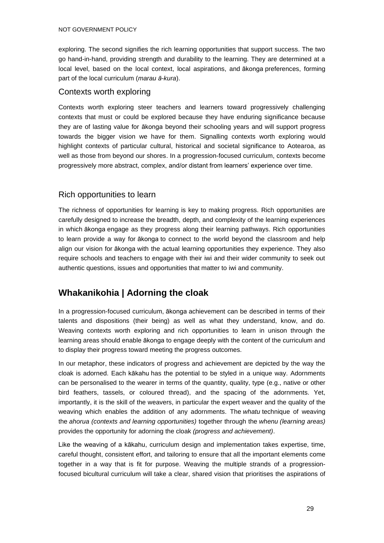exploring. The second signifies the rich learning opportunities that support success. The two go hand-in-hand, providing strength and durability to the learning. They are determined at a local level, based on the local context, local aspirations, and ākonga preferences, forming part of the local curriculum (*marau ā-kura*).

#### Contexts worth exploring

Contexts worth exploring steer teachers and learners toward progressively challenging contexts that must or could be explored because they have enduring significance because they are of lasting value for ākonga beyond their schooling years and will support progress towards the bigger vision we have for them. Signalling contexts worth exploring would highlight contexts of particular cultural, historical and societal significance to Aotearoa, as well as those from beyond our shores. In a progression-focused curriculum, contexts become progressively more abstract, complex, and/or distant from learners' experience over time.

#### Rich opportunities to learn

The richness of opportunities for learning is key to making progress. Rich opportunities are carefully designed to increase the breadth, depth, and complexity of the learning experiences in which ākonga engage as they progress along their learning pathways. Rich opportunities to learn provide a way for ākonga to connect to the world beyond the classroom and help align our vision for ākonga with the actual learning opportunities they experience. They also require schools and teachers to engage with their iwi and their wider community to seek out authentic questions, issues and opportunities that matter to iwi and community.

## **Whakanikohia | Adorning the cloak**

In a progression-focused curriculum, ākonga achievement can be described in terms of their talents and dispositions (their being) as well as what they understand, know, and do. Weaving contexts worth exploring and rich opportunities to learn in unison through the learning areas should enable ākonga to engage deeply with the content of the curriculum and to display their progress toward meeting the progress outcomes.

In our metaphor, these indicators of progress and achievement are depicted by the way the cloak is adorned. Each kākahu has the potential to be styled in a unique way. Adornments can be personalised to the wearer in terms of the quantity, quality, type (e.g., native or other bird feathers, tassels, or coloured thread), and the spacing of the adornments. Yet, importantly, it is the skill of the weavers, in particular the expert weaver and the quality of the weaving which enables the addition of any adornments. The *whatu* technique of weaving the *ahorua (contexts and learning opportunities)* together through the *whenu (learning areas)* provides the opportunity for adorning the cloak *(progress and achievement)*.

Like the weaving of a kākahu, curriculum design and implementation takes expertise, time, careful thought, consistent effort, and tailoring to ensure that all the important elements come together in a way that is fit for purpose. Weaving the multiple strands of a progressionfocused bicultural curriculum will take a clear, shared vision that prioritises the aspirations of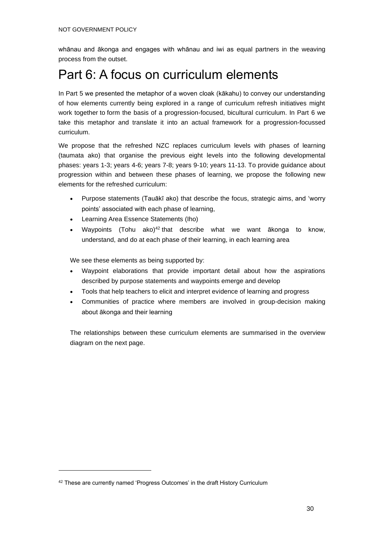whānau and ākonga and engages with whānau and iwi as equal partners in the weaving process from the outset.

## Part 6: A focus on curriculum elements

In Part 5 we presented the metaphor of a woven cloak (kākahu) to convey our understanding of how elements currently being explored in a range of curriculum refresh initiatives might work together to form the basis of a progression-focused, bicultural curriculum. In Part 6 we take this metaphor and translate it into an actual framework for a progression-focussed curriculum.

We propose that the refreshed NZC replaces curriculum levels with phases of learning (taumata ako) that organise the previous eight levels into the following developmental phases: years 1-3; years 4-6; years 7-8; years 9-10; years 11-13. To provide guidance about progression within and between these phases of learning, we propose the following new elements for the refreshed curriculum:

- Purpose statements (Tauākī ako) that describe the focus, strategic aims, and 'worry points' associated with each phase of learning,
- Learning Area Essence Statements (Iho)
- Waypoints (Tohu ako)<sup>42</sup> that describe what we want ākonga to know, understand, and do at each phase of their learning, in each learning area

We see these elements as being supported by:

- Waypoint elaborations that provide important detail about how the aspirations described by purpose statements and waypoints emerge and develop
- Tools that help teachers to elicit and interpret evidence of learning and progress
- Communities of practice where members are involved in group-decision making about ākonga and their learning

The relationships between these curriculum elements are summarised in the overview diagram on the next page.

<sup>&</sup>lt;sup>42</sup> These are currently named 'Progress Outcomes' in the draft History Curriculum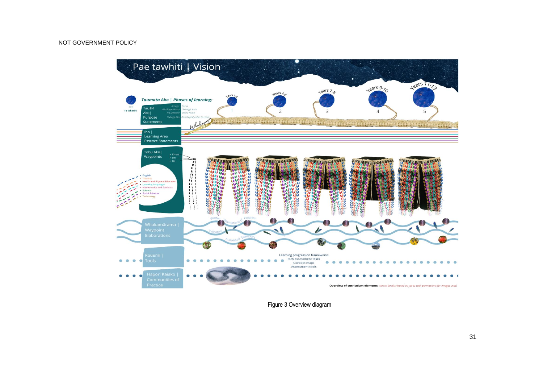

<span id="page-32-0"></span>Figure 3 Overview diagram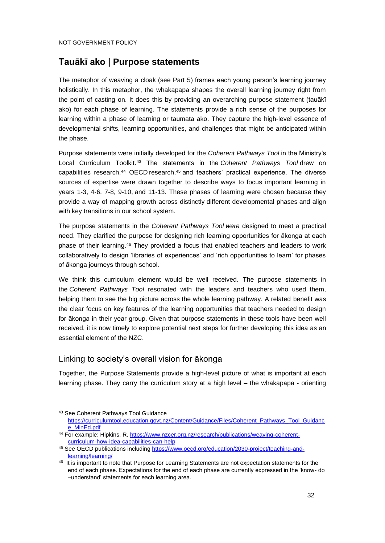#### **Tauākī ako | Purpose statements**

The metaphor of weaving a cloak (see Part 5) frames each young person's learning journey holistically. In this metaphor, the whakapapa shapes the overall learning journey right from the point of casting on. It does this by providing an overarching purpose statement (tauākī ako) for each phase of learning. The statements provide a rich sense of the purposes for learning within a phase of learning or taumata ako. They capture the high-level essence of developmental shifts, learning opportunities, and challenges that might be anticipated within the phase.

Purpose statements were initially developed for the *Coherent Pathways Tool* in the Ministry's Local Curriculum Toolkit.<sup>43</sup> The statements in the *Coherent Pathways Tool* drew on capabilities research, $44$  OECD research, $45$  and teachers' practical experience. The diverse sources of expertise were drawn together to describe ways to focus important learning in years 1-3, 4-6, 7-8, 9-10, and 11-13. These phases of learning were chosen because they provide a way of mapping growth across distinctly different developmental phases and align with key transitions in our school system.

The purpose statements in the *Coherent Pathways Tool were* designed to meet a practical need. They clarified the purpose for designing rich learning opportunities for ākonga at each phase of their learning.<sup>46</sup> They provided a focus that enabled teachers and leaders to work collaboratively to design 'libraries of experiences' and 'rich opportunities to learn' for phases of ākonga journeys through school.

We think this curriculum element would be well received. The purpose statements in the *Coherent Pathways Tool* resonated with the leaders and teachers who used them, helping them to see the big picture across the whole learning pathway. A related benefit was the clear focus on key features of the learning opportunities that teachers needed to design for ākonga in their year group. Given that purpose statements in these tools have been well received, it is now timely to explore potential next steps for further developing this idea as an essential element of the NZC.

#### Linking to society's overall vision for ākonga

Together, the Purpose Statements provide a high-level picture of what is important at each learning phase. They carry the curriculum story at a high level – the whakapapa - orienting

<sup>43</sup> See Coherent Pathways Tool Guidance [https://curriculumtool.education.govt.nz/Content/Guidance/Files/Coherent\\_Pathways\\_Tool\\_Guidanc](https://curriculumtool.education.govt.nz/Content/Guidance/Files/Coherent_Pathways_Tool_Guidance_MinEd.pdf) [e\\_MinEd.pdf](https://curriculumtool.education.govt.nz/Content/Guidance/Files/Coherent_Pathways_Tool_Guidance_MinEd.pdf)

<sup>44</sup> For example: Hipkins, R. [https://www.nzcer.org.nz/research/publications/weaving-coherent](https://www.nzcer.org.nz/research/publications/weaving-coherent-curriculum-how-idea-capabilities-can-help)[curriculum-how-idea-capabilities-can-help](https://www.nzcer.org.nz/research/publications/weaving-coherent-curriculum-how-idea-capabilities-can-help)

<sup>45</sup> See OECD publications including [https://www.oecd.org/education/2030-project/teaching-and](https://www.oecd.org/education/2030-project/teaching-and-learning/learning/)[learning/learning/](https://www.oecd.org/education/2030-project/teaching-and-learning/learning/)

<sup>46</sup> It is important to note that Purpose for Learning Statements are not expectation statements for the end of each phase. Expectations for the end of each phase are currently expressed in the 'know- do –understand' statements for each learning area.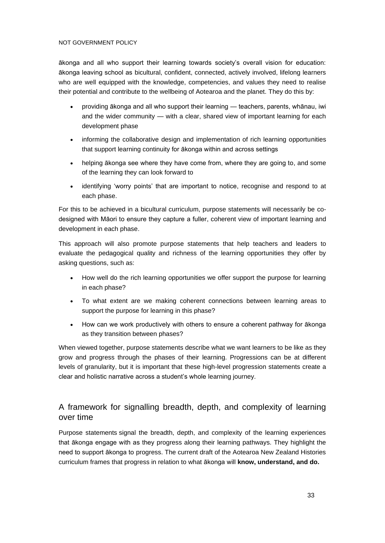ākonga and all who support their learning towards society's overall vision for education: ākonga leaving school as bicultural, confident, connected, actively involved, lifelong learners who are well equipped with the knowledge, competencies, and values they need to realise their potential and contribute to the wellbeing of Aotearoa and the planet. They do this by:

- providing ākonga and all who support their learning teachers, parents, whānau, iwi and the wider community — with a clear, shared view of important learning for each development phase
- informing the collaborative design and implementation of rich learning opportunities that support learning continuity for ākonga within and across settings
- helping akonga see where they have come from, where they are going to, and some of the learning they can look forward to
- identifying 'worry points' that are important to notice, recognise and respond to at each phase.

For this to be achieved in a bicultural curriculum, purpose statements will necessarily be codesigned with Māori to ensure they capture a fuller, coherent view of important learning and development in each phase.

This approach will also promote purpose statements that help teachers and leaders to evaluate the pedagogical quality and richness of the learning opportunities they offer by asking questions, such as:

- How well do the rich learning opportunities we offer support the purpose for learning in each phase?
- To what extent are we making coherent connections between learning areas to support the purpose for learning in this phase?
- How can we work productively with others to ensure a coherent pathway for ākonga as they transition between phases?

When viewed together, purpose statements describe what we want learners to be like as they grow and progress through the phases of their learning. Progressions can be at different levels of granularity, but it is important that these high-level progression statements create a clear and holistic narrative across a student's whole learning journey.

#### A framework for signalling breadth, depth, and complexity of learning over time

Purpose statements signal the breadth, depth, and complexity of the learning experiences that ākonga engage with as they progress along their learning pathways. They highlight the need to support ākonga to progress. The current draft of the Aotearoa New Zealand Histories curriculum frames that progress in relation to what ākonga will **know, understand, and do.**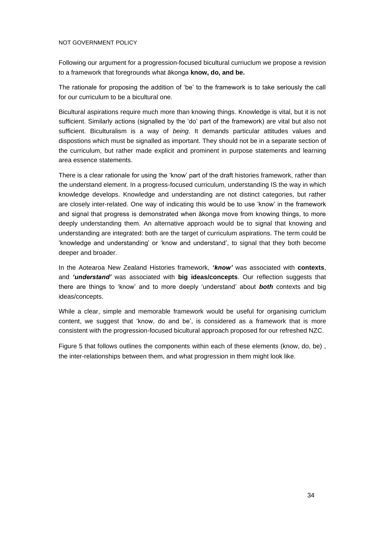Following our argument for a progression-focused bicultural curriuclum we propose a revision to a framework that foregrounds what ākonga **know, do, and be.**

The rationale for proposing the addition of 'be' to the framework is to take seriously the call for our curriculum to be a bicultural one.

Bicultural aspirations require much more than knowing things. Knowledge is vital, but it is not sufficient. Similarly actions (signalled by the 'do' part of the framework) are vital but also not sufficient. Biculturalism is a way of *being*. It demands particular attitudes values and dispostions which must be signalled as important. They should not be in a separate section of the curriculum, but rather made explicit and prominent in purpose statements and learning area essence statements.

There is a clear rationale for using the 'know' part of the draft histories framework, rather than the understand element. In a progress-focused curriculum, understanding IS the way in which knowledge develops. Knowledge and understanding are not distinct categories, but rather are closely inter-related. One way of indicating this would be to use 'know' in the framework and signal that progress is demonstrated when ākonga move from knowing things, to more deeply understanding them. An alternative approach would be to signal that knowing and understanding are integrated: both are the target of curriculum aspirations. The term could be 'knowledge and understanding' or 'know and understand', to signal that they both become deeper and broader.

In the Aotearoa New Zealand Histories framework, *'know'* was associated with **contexts**, and *'understand'* was associated with **big ideas/concepts**. Our reflection suggests that there are things to 'know' and to more deeply 'understand' about *both* contexts and big ideas/concepts.

While a clear, simple and memorable framework would be useful for organising curriclum content, we suggest that 'know, do and be', is considered as a framework that is more consistent with the progression-focused bicultural approach proposed for our refreshed NZC.

Figure 5 that follows outlines the components within each of these elements (know, do, be) , the inter-relationships between them, and what progression in them might look like.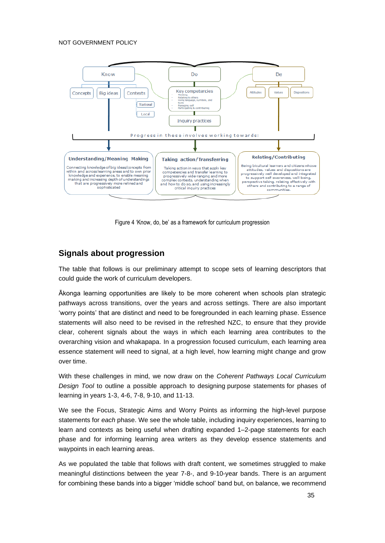

Figure 4 'Know, do, be' as a framework for curriculum progression

#### <span id="page-36-0"></span>**Signals about progression**

The table that follows is our preliminary attempt to scope sets of learning descriptors that could guide the work of curriculum developers.

Ākonga learning opportunities are likely to be more coherent when schools plan strategic pathways across transitions, over the years and across settings. There are also important 'worry points' that are distinct and need to be foregrounded in each learning phase. Essence statements will also need to be revised in the refreshed NZC, to ensure that they provide clear, coherent signals about the ways in which each learning area contributes to the overarching vision and whakapapa. In a progression focused curriculum, each learning area essence statement will need to signal, at a high level, how learning might change and grow over time.

With these challenges in mind, we now draw on the *Coherent Pathways Local Curriculum Design Tool* to outline a possible approach to designing purpose statements for phases of learning in years 1-3, 4-6, 7-8, 9-10, and 11-13.

We see the Focus, Strategic Aims and Worry Points as informing the high-level purpose statements for *each* phase. We see the whole table, including inquiry experiences, learning to learn and contexts as being useful when drafting expanded 1–2-page statements for each phase and for informing learning area writers as they develop essence statements and waypoints in each learning areas.

As we populated the table that follows with draft content, we sometimes struggled to make meaningful distinctions between the year 7-8-, and 9-10-year bands. There is an argument for combining these bands into a bigger 'middle school' band but, on balance, we recommend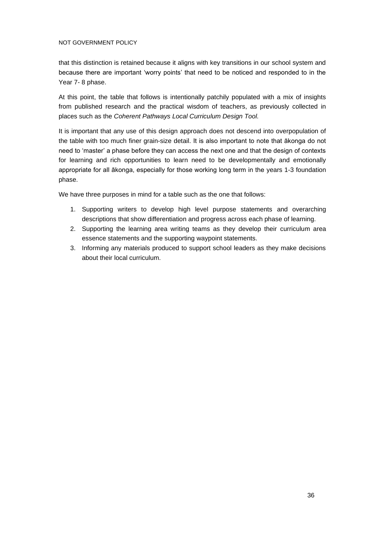that this distinction is retained because it aligns with key transitions in our school system and because there are important 'worry points' that need to be noticed and responded to in the Year 7- 8 phase.

At this point, the table that follows is intentionally patchily populated with a mix of insights from published research and the practical wisdom of teachers, as previously collected in places such as the *Coherent Pathways Local Curriculum Design Tool.*

It is important that any use of this design approach does not descend into overpopulation of the table with too much finer grain-size detail. It is also important to note that ākonga do not need to 'master' a phase before they can access the next one and that the design of contexts for learning and rich opportunities to learn need to be developmentally and emotionally appropriate for all ākonga, especially for those working long term in the years 1-3 foundation phase.

We have three purposes in mind for a table such as the one that follows:

- 1. Supporting writers to develop high level purpose statements and overarching descriptions that show differentiation and progress across each phase of learning.
- 2. Supporting the learning area writing teams as they develop their curriculum area essence statements and the supporting waypoint statements.
- 3. Informing any materials produced to support school leaders as they make decisions about their local curriculum.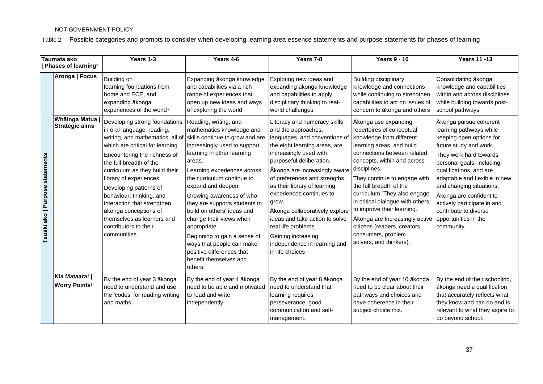Table 2 Possible categories and prompts to consider when developing learning area essence statements and purpose statements for phases of learning

<span id="page-38-0"></span>

|                                 | Taumata ako                                                                                 | Years 1-3                                                                                                                                                                                                                                                                                                                                                                                                                                                                                                                                                                      | Years 4-6                                                                                                                                                                                                                                                                                                                                                                                                                                                                                                                                                                                                                          | Years 7-8                                                                                                                                                                                                                                                                                                                                                                                                                                                                                                                                                                                                                         | <b>Years 9 - 10</b>                                                                                                                                                                                                                                                                                                                                                                                                                                                                                                                                                                                                                         | <b>Years 11-13</b>                                                                                                                                                                                                                                                                                                                                                                                                                                                                                                       |
|---------------------------------|---------------------------------------------------------------------------------------------|--------------------------------------------------------------------------------------------------------------------------------------------------------------------------------------------------------------------------------------------------------------------------------------------------------------------------------------------------------------------------------------------------------------------------------------------------------------------------------------------------------------------------------------------------------------------------------|------------------------------------------------------------------------------------------------------------------------------------------------------------------------------------------------------------------------------------------------------------------------------------------------------------------------------------------------------------------------------------------------------------------------------------------------------------------------------------------------------------------------------------------------------------------------------------------------------------------------------------|-----------------------------------------------------------------------------------------------------------------------------------------------------------------------------------------------------------------------------------------------------------------------------------------------------------------------------------------------------------------------------------------------------------------------------------------------------------------------------------------------------------------------------------------------------------------------------------------------------------------------------------|---------------------------------------------------------------------------------------------------------------------------------------------------------------------------------------------------------------------------------------------------------------------------------------------------------------------------------------------------------------------------------------------------------------------------------------------------------------------------------------------------------------------------------------------------------------------------------------------------------------------------------------------|--------------------------------------------------------------------------------------------------------------------------------------------------------------------------------------------------------------------------------------------------------------------------------------------------------------------------------------------------------------------------------------------------------------------------------------------------------------------------------------------------------------------------|
| Tauākī ako   Purpose statements | Phases of learning <sup>7</sup><br>Aronga   Focus<br>Whāinga Matua<br><b>Strategic aims</b> | Building on<br>learning foundations from<br>home and ECE, and<br>expanding ākonga<br>experiences of the world <sup>®</sup><br>Developing strong foundations<br>in oral language, reading,<br>writing, and mathematics, all of<br>which are critical for learning.<br>Encountering the richness of<br>the full breadth of the<br>curriculum as they build their<br>library of experiences.<br>Developing patterns of<br>behaviour, thinking, and<br>interaction that strengthen<br>ākonga conceptions of<br>themselves as learners and<br>contributors to their<br>communities. | Expanding ākonga knowledge<br>and capabilities via a rich<br>range of experiences that<br>open up new ideas and ways<br>of exploring the world<br>Reading, writing, and<br>mathematics knowledge and<br>skills continue to grow and are<br>increasingly used to support<br>learning in other learning<br>areas.<br>Learning experiences across<br>the curriculum continue to<br>expand and deepen.<br>Growing awareness of who<br>they are supports students to<br>build on others' ideas and<br>change their views when<br>appropriate.<br>Beginning to gain a sense of<br>ways that people can make<br>positive differences that | Exploring new ideas and<br>expanding ākonga knowledge<br>and capabilities to apply<br>disciplinary thinking to real-<br>world challenges<br>Literacy and numeracy skills<br>and the approaches,<br>languages, and conventions of<br>the eight learning areas, are<br>increasingly used with<br>purposeful deliberation.<br>Ākonga are increasingly aware<br>of preferences and strengths<br>as their library of learning<br>experiences continues to<br>grow.<br>Ākonga collaboratively explore<br>ideas and take action to solve<br>real life problems.<br>Gaining increasing<br>independence in learning and<br>in life choices | <b>Building disciplinary</b><br>knowledge and connections<br>while continuing to strengthen<br>capabilities to act on issues of<br>concern to ākonga and others<br>Ākonga use expanding<br>repertoires of conceptual<br>knowledge from different<br>learning areas, and build<br>connections between related<br>concepts, within and across<br>disciplines.<br>They continue to engage with<br>the full breadth of the<br>curriculum. They also engage<br>in critical dialogue with others<br>to improve their learning.<br>Ākonga are Increasingly active<br>citizens (readers, creators,<br>consumers, problem<br>solvers, and thinkers). | Consolidating ākonga<br>knowledge and capabilities<br>within and across disciplines<br>while building towards post-<br>school pathways<br>Ākonga pursue coherent<br>learning pathways while<br>keeping open options for<br>future study and work.<br>They work hard towards<br>personal goals, including<br>qualifications, and are<br>adaptable and flexible in new<br>and changing situations.<br>Ākonga are confident to<br>actively participate in and<br>contribute to diverse<br>opportunities in the<br>community |
|                                 | Kia Mataara!  <br><b>Worry Points<sup>9</sup></b>                                           | By the end of year 3 ākonga<br>need to understand and use<br>the 'codes' for reading writing<br>and maths                                                                                                                                                                                                                                                                                                                                                                                                                                                                      | benefit themselves and<br>others.<br>By the end of year 4 akonga<br>need to be able and motivated<br>to read and write<br>independently.                                                                                                                                                                                                                                                                                                                                                                                                                                                                                           | By the end of year 8 akonga<br>need to understand that<br>learning requires<br>perseverance, good<br>communication and self-<br>management.                                                                                                                                                                                                                                                                                                                                                                                                                                                                                       | By the end of year 10 ākonga<br>need to be clear about their<br>pathways and choices and<br>have coherence in their<br>subject choice mix.                                                                                                                                                                                                                                                                                                                                                                                                                                                                                                  | By the end of their schooling,<br>ākonga need a qualification<br>that accurately reflects what<br>they know and can do and is<br>relevant to what they aspire to<br>do beyond school.                                                                                                                                                                                                                                                                                                                                    |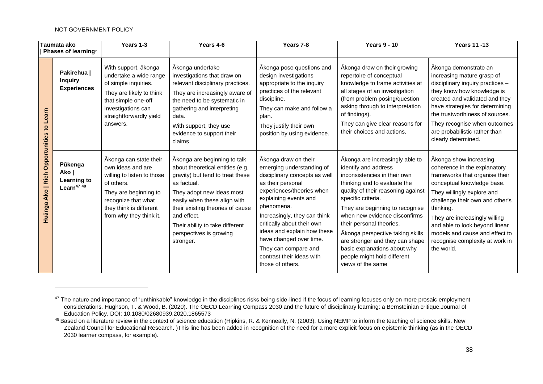|                                                                           | Taumata ako<br>Phases of learning?                        | Years 1-3                                                                                                                                                                                     | Years 4-6                                                                                                                                                                                                                                                                                                      | Years 7-8                                                                                                                                                                                                                                                                                                                                                                    | <b>Years 9 - 10</b>                                                                                                                                                                                                                                                                                                                                                                                                                            | <b>Years 11-13</b>                                                                                                                                                                                                                                                                                                                                         |
|---------------------------------------------------------------------------|-----------------------------------------------------------|-----------------------------------------------------------------------------------------------------------------------------------------------------------------------------------------------|----------------------------------------------------------------------------------------------------------------------------------------------------------------------------------------------------------------------------------------------------------------------------------------------------------------|------------------------------------------------------------------------------------------------------------------------------------------------------------------------------------------------------------------------------------------------------------------------------------------------------------------------------------------------------------------------------|------------------------------------------------------------------------------------------------------------------------------------------------------------------------------------------------------------------------------------------------------------------------------------------------------------------------------------------------------------------------------------------------------------------------------------------------|------------------------------------------------------------------------------------------------------------------------------------------------------------------------------------------------------------------------------------------------------------------------------------------------------------------------------------------------------------|
| Learn<br>$\mathbf{S}$<br><b>Ako   Rich Opportunities</b><br><b>Huānga</b> | Pakirehua  <br><b>Inquiry</b><br><b>Experiences</b>       | With support, ākonga<br>undertake a wide range<br>of simple inquiries.<br>They are likely to think<br>that simple one-off<br>investigations can<br>straightforwardly yield<br>answers.        | Ākonga undertake<br>investigations that draw on<br>relevant disciplinary practices.<br>They are increasingly aware of<br>the need to be systematic in<br>gathering and interpreting<br>data.<br>With support, they use<br>evidence to support their<br>claims                                                  | Akonga pose questions and<br>design investigations<br>appropriate to the inquiry<br>practices of the relevant<br>discipline.<br>They can make and follow a<br>plan.<br>They justify their own<br>position by using evidence.                                                                                                                                                 | Ākonga draw on their growing<br>repertoire of conceptual<br>knowledge to frame activities at<br>all stages of an investigation<br>(from problem posing/question<br>asking through to interpretation<br>of findings).<br>They can give clear reasons for<br>their choices and actions.                                                                                                                                                          | Akonga demonstrate an<br>increasing mature grasp of<br>disciplinary inquiry practices -<br>they know how knowledge is<br>created and validated and they<br>have strategies for determining<br>the trustworthiness of sources.<br>They recognise when outcomes<br>are probabilistic rather than<br>clearly determined.                                      |
|                                                                           | Pūkenga<br>Ako  <br>Learning to<br>Learn <sup>47 48</sup> | Ākonga can state their<br>own ideas and are<br>willing to listen to those<br>of others.<br>They are beginning to<br>recognize that what<br>they think is different<br>from why they think it. | Ākonga are beginning to talk<br>about theoretical entities (e.g.<br>gravity) but tend to treat these<br>as factual.<br>They adopt new ideas most<br>easily when these align with<br>their existing theories of cause<br>and effect.<br>Their ability to take different<br>perspectives is growing<br>stronger. | Ākonga draw on their<br>emerging understanding of<br>disciplinary concepts as well<br>as their personal<br>experiences/theories when<br>explaining events and<br>phenomena.<br>Increasingly, they can think<br>critically about their own<br>ideas and explain how these<br>have changed over time.<br>They can compare and<br>contrast their ideas with<br>those of others. | Ākonga are increasingly able to<br>identify and address<br>inconsistencies in their own<br>thinking and to evaluate the<br>quality of their reasoning against<br>specific criteria.<br>They are beginning to recognise<br>when new evidence disconfirms<br>their personal theories.<br>Ākonga perspective taking skills<br>are stronger and they can shape<br>basic explanations about why<br>people might hold different<br>views of the same | Ākonga show increasing<br>coherence in the explanatory<br>frameworks that organise their<br>conceptual knowledge base.<br>They willingly explore and<br>challenge their own and other's<br>thinking.<br>They are increasingly willing<br>and able to look beyond linear<br>models and cause and effect to<br>recognise complexity at work in<br>the world. |

<sup>&</sup>lt;sup>47</sup> The nature and importance of "unthinkable" knowledge in the disciplines risks being side-lined if the focus of learning focuses only on more prosaic employment considerations. Hughson, T. & Wood, B. (2020). The OECD Learning Compass 2030 and the future of disciplinary learning: a Bernsteinian critique.Journal of Education Policy, DOI: 10.1080/02680939.2020.1865573

<sup>&</sup>lt;sup>48</sup> Based on a literature review in the context of science education (Hipkins, R. & Kenneally, N. (2003). Using NEMP to inform the teaching of science skills. New Zealand Council for Educational Research. )This line has been added in recognition of the need for a more explicit focus on epistemic thinking (as in the OECD 2030 learner compass, for example).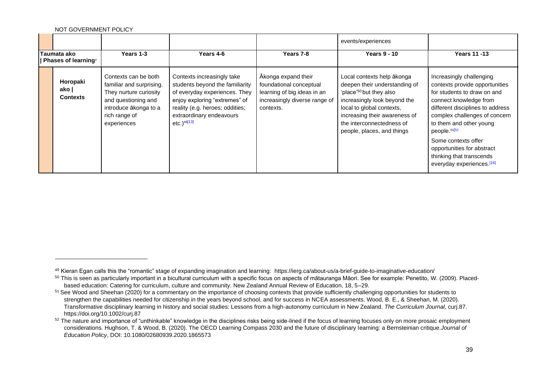|                                                       |                                      |                                                                                                                                                            |                                                                                                                                                                                                                              |                                                                                                                             | events/experiences                                                                                                                                                                                                                                          |                                                                                                                                                                                                                                                                                                                                                                           |
|-------------------------------------------------------|--------------------------------------|------------------------------------------------------------------------------------------------------------------------------------------------------------|------------------------------------------------------------------------------------------------------------------------------------------------------------------------------------------------------------------------------|-----------------------------------------------------------------------------------------------------------------------------|-------------------------------------------------------------------------------------------------------------------------------------------------------------------------------------------------------------------------------------------------------------|---------------------------------------------------------------------------------------------------------------------------------------------------------------------------------------------------------------------------------------------------------------------------------------------------------------------------------------------------------------------------|
| <b>Taumata ako</b><br>Phases of learning <sup>7</sup> |                                      | Years 1-3                                                                                                                                                  | <b>Years 4-6</b>                                                                                                                                                                                                             | Years 7-8                                                                                                                   | <b>Years 9 - 10</b>                                                                                                                                                                                                                                         | <b>Years 11 -13</b>                                                                                                                                                                                                                                                                                                                                                       |
|                                                       | Horopaki<br>ako l<br><b>Contexts</b> | Contexts can be both<br>familiar and surprising.<br>They nurture curiosity<br>and questioning and<br>introduce ākonga to a<br>rich range of<br>experiences | Contexts increasingly take<br>students beyond the familiarity<br>of everyday experiences. They<br>enjoy exploring "extremes" of<br>reality (e.g. heroes; oddities;<br>extraordinary endeavours<br>$etc.$ ) <sup>49[13]</sup> | Ākonga expand their<br>foundational conceptual<br>learning of big ideas in an<br>increasingly diverse range of<br>contexts. | Local contexts help ākonga<br>deepen their understanding of<br>'place' <sup>50</sup> but they also<br>increasingly look beyond the<br>local to global contexts,<br>increasing their awareness of<br>the interconnectedness of<br>people, places, and things | Increasingly challenging<br>contexts provide opportunities<br>for students to draw on and<br>connect knowledge from<br>different disciplines to address<br>complex challenges of concern<br>to them and other young<br>people. <sup>51[52</sup><br>Some contexts offer<br>opportunities for abstract<br>thinking that transcends<br>everyday experiences. <sup>[16]</sup> |

<sup>49</sup> Kieran Egan calls this the "romantic" stage of expanding imagination and learnin[g:](https://ierg.ca/about-us/a-brief-guide-to-imaginative-education/) <https://ierg.ca/about-us/a-brief-guide-to-imaginative-education/>

<sup>50</sup> This is seen as particularly important in a bicultural curriculum with a specific focus on aspects of mātauranga Māori. See for example: Penetito, W. (2009). Placedbased education: Catering for curriculum, culture and community. New Zealand Annual Review of Education, 18, 5–29.

<sup>&</sup>lt;sup>51</sup> See Wood and Sheehan (2020) for a commentary on the importance of choosing contexts that provide sufficiently challenging opportunities for students to strengthen the capabilities needed for citizenship in the years beyond school, and for success in NCEA assessments. Wood, B. E., & Sheehan, M. (2020). Transformative disciplinary learning in history and social studies: Lessons from a high‐autonomy curriculum in New Zealand. *The Curriculum Journal*, curj.87. https://doi.org/10.1002/curj.87

<sup>&</sup>lt;sup>52</sup> The nature and importance of "unthinkable" knowledge in the disciplines risks being side-lined if the focus of learning focuses only on more prosaic employment considerations. Hughson, T. & Wood, B. (2020). The OECD Learning Compass 2030 and the future of disciplinary learning: a Bernsteinian critique.*Journal of Education Policy*, DOI: 10.1080/02680939.2020.1865573